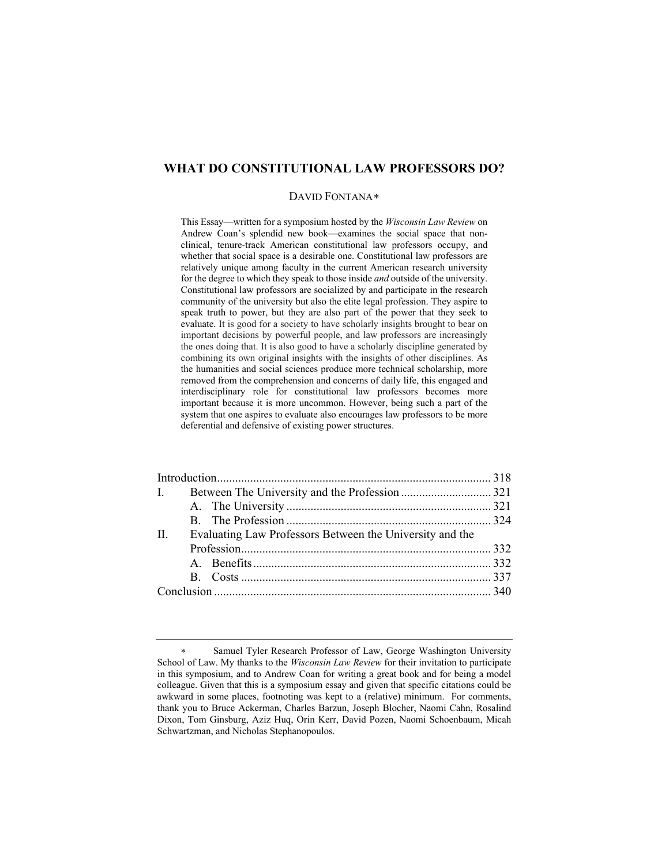# **WHAT DO CONSTITUTIONAL LAW PROFESSORS DO?**

#### DAVID FONTANA[∗](#page-0-0)

This Essay—written for a symposium hosted by the *Wisconsin Law Review* on Andrew Coan's splendid new book—examines the social space that nonclinical, tenure-track American constitutional law professors occupy, and whether that social space is a desirable one. Constitutional law professors are relatively unique among faculty in the current American research university for the degree to which they speak to those inside *and* outside of the university. Constitutional law professors are socialized by and participate in the research community of the university but also the elite legal profession. They aspire to speak truth to power, but they are also part of the power that they seek to evaluate. It is good for a society to have scholarly insights brought to bear on important decisions by powerful people, and law professors are increasingly the ones doing that. It is also good to have a scholarly discipline generated by combining its own original insights with the insights of other disciplines. As the humanities and social sciences produce more technical scholarship, more removed from the comprehension and concerns of daily life, this engaged and interdisciplinary role for constitutional law professors becomes more important because it is more uncommon. However, being such a part of the system that one aspires to evaluate also encourages law professors to be more deferential and defensive of existing power structures.

| $\mathbf{II}$ . | Evaluating Law Professors Between the University and the |  |  |
|-----------------|----------------------------------------------------------|--|--|
|                 |                                                          |  |  |
|                 |                                                          |  |  |
|                 |                                                          |  |  |
|                 |                                                          |  |  |
|                 |                                                          |  |  |

<span id="page-0-0"></span>Samuel Tyler Research Professor of Law, George Washington University School of Law. My thanks to the *Wisconsin Law Review* for their invitation to participate in this symposium, and to Andrew Coan for writing a great book and for being a model colleague. Given that this is a symposium essay and given that specific citations could be awkward in some places, footnoting was kept to a (relative) minimum. For comments, thank you to Bruce Ackerman, Charles Barzun, Joseph Blocher, Naomi Cahn, Rosalind Dixon, Tom Ginsburg, Aziz Huq, Orin Kerr, David Pozen, Naomi Schoenbaum, Micah Schwartzman, and Nicholas Stephanopoulos.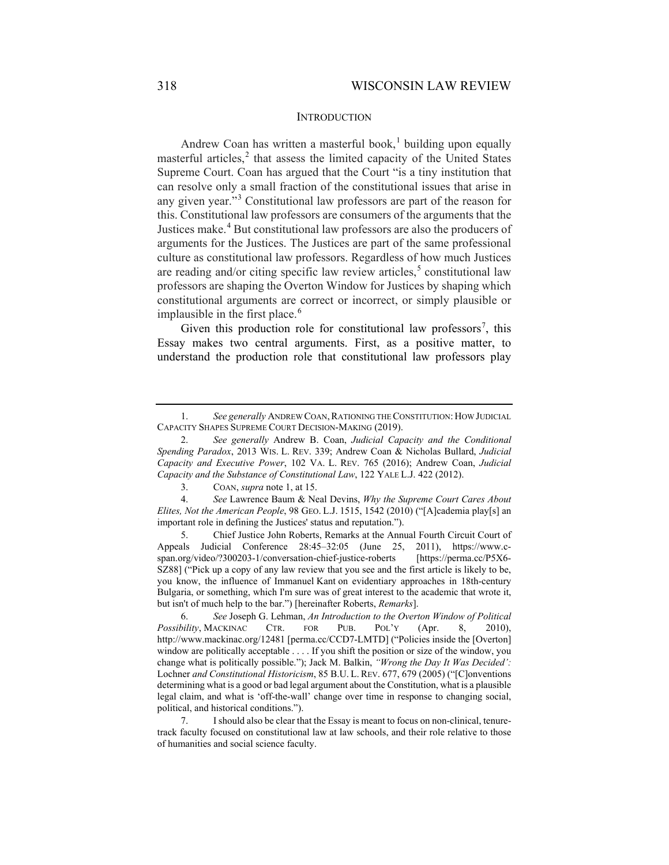#### INTRODUCTION

Andrew Coan has written a masterful book, [1](#page-1-0) building upon equally masterful articles, [2](#page-1-1) that assess the limited capacity of the United States Supreme Court. Coan has argued that the Court "is a tiny institution that can resolve only a small fraction of the constitutional issues that arise in any given year."[3](#page-1-2) Constitutional law professors are part of the reason for this. Constitutional law professors are consumers of the arguments that the Justices make.<sup>[4](#page-1-3)</sup> But constitutional law professors are also the producers of arguments for the Justices. The Justices are part of the same professional culture as constitutional law professors. Regardless of how much Justices are reading and/or citing specific law review articles, $5$  constitutional law professors are shaping the Overton Window for Justices by shaping which constitutional arguments are correct or incorrect, or simply plausible or implausible in the first place.<sup>[6](#page-1-5)</sup>

Given this production role for constitutional law professors<sup>[7](#page-1-6)</sup>, this Essay makes two central arguments. First, as a positive matter, to understand the production role that constitutional law professors play

<span id="page-1-4"></span>5. Chief Justice John Roberts, Remarks at the Annual Fourth Circuit Court of Appeals Judicial Conference 28:45–32:05 (June 25, 2011), https://www.cspan.org/video/?300203-1/conversation-chief-justice-roberts [https://perma.cc/P5X6- SZ88] ("Pick up a copy of any law review that you see and the first article is likely to be, you know, the influence of Immanuel Kant on evidentiary approaches in 18th-century Bulgaria, or something, which I'm sure was of great interest to the academic that wrote it, but isn't of much help to the bar.") [hereinafter Roberts, *Remarks*].

<span id="page-1-0"></span><sup>1.</sup> *See generally* ANDREW COAN,RATIONING THE CONSTITUTION: HOW JUDICIAL CAPACITY SHAPES SUPREME COURT DECISION-MAKING (2019).

<span id="page-1-1"></span><sup>2.</sup> *See generally* Andrew B. Coan, *Judicial Capacity and the Conditional Spending Paradox*, 2013 WIS. L. REV. 339; Andrew Coan & Nicholas Bullard, *Judicial Capacity and Executive Power*, 102 VA. L. REV. 765 (2016); Andrew Coan, *Judicial Capacity and the Substance of Constitutional Law*, 122 YALE L.J. 422 (2012).

<sup>3.</sup> COAN, *supra* note 1, at 15.

<span id="page-1-3"></span><span id="page-1-2"></span><sup>4.</sup> *See* Lawrence Baum & Neal Devins, *Why the Supreme Court Cares About Elites, Not the American People*, 98 GEO. L.J. 1515, 1542 (2010) ("[A]cademia play[s] an important role in defining the Justices' status and reputation.").

<span id="page-1-5"></span><sup>6.</sup> *See* Joseph G. Lehman, *An Introduction to the Overton Window of Political Possibility*, MACKINAC CTR. FOR PUB. POL'Y (Apr. 8, 2010), http://www.mackinac.org/12481 [perma.cc/CCD7-LMTD] ("Policies inside the [Overton] window are politically acceptable . . . . If you shift the position or size of the window, you change what is politically possible."); Jack M. Balkin, *"Wrong the Day It Was Decided':*  Lochner *and Constitutional Historicism*, 85 B.U. L. REV. 677, 679 (2005) ("[C]onventions determining what is a good or bad legal argument about the Constitution, what is a plausible legal claim, and what is 'off-the-wall' change over time in response to changing social, political, and historical conditions.").

<span id="page-1-6"></span><sup>7.</sup> I should also be clear that the Essay is meant to focus on non-clinical, tenuretrack faculty focused on constitutional law at law schools, and their role relative to those of humanities and social science faculty.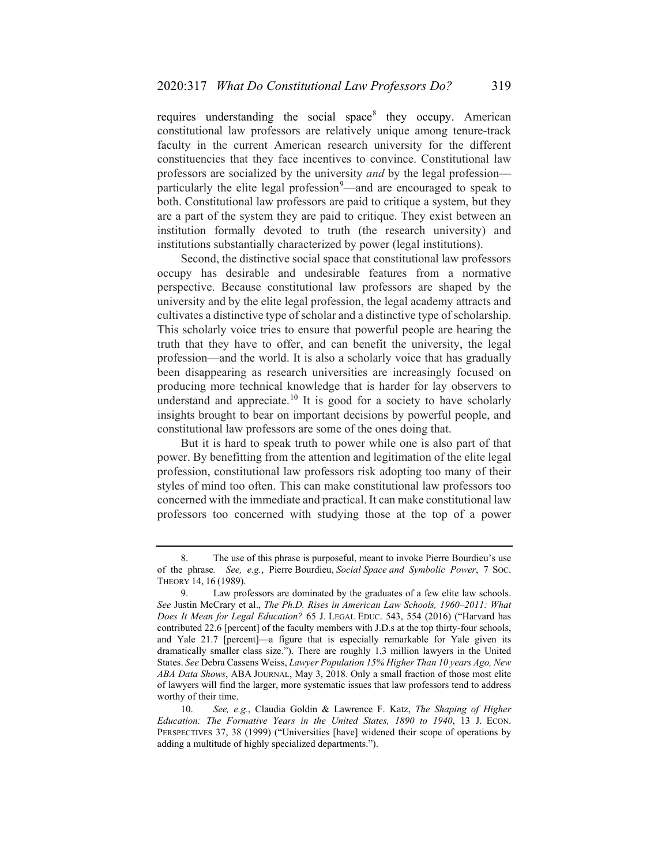<span id="page-2-3"></span>requires understanding the social space  $\delta$  they occupy. American constitutional law professors are relatively unique among tenure-track faculty in the current American research university for the different constituencies that they face incentives to convince. Constitutional law professors are socialized by the university *and* by the legal profession— particularly the elite legal profession<sup>[9](#page-2-1)</sup>—and are encouraged to speak to both. Constitutional law professors are paid to critique a system, but they are a part of the system they are paid to critique. They exist between an institution formally devoted to truth (the research university) and institutions substantially characterized by power (legal institutions).

Second, the distinctive social space that constitutional law professors occupy has desirable and undesirable features from a normative perspective. Because constitutional law professors are shaped by the university and by the elite legal profession, the legal academy attracts and cultivates a distinctive type of scholar and a distinctive type of scholarship. This scholarly voice tries to ensure that powerful people are hearing the truth that they have to offer, and can benefit the university, the legal profession—and the world. It is also a scholarly voice that has gradually been disappearing as research universities are increasingly focused on producing more technical knowledge that is harder for lay observers to understand and appreciate.<sup>[10](#page-2-2)</sup> It is good for a society to have scholarly insights brought to bear on important decisions by powerful people, and constitutional law professors are some of the ones doing that.

But it is hard to speak truth to power while one is also part of that power. By benefitting from the attention and legitimation of the elite legal profession, constitutional law professors risk adopting too many of their styles of mind too often. This can make constitutional law professors too concerned with the immediate and practical. It can make constitutional law professors too concerned with studying those at the top of a power

<span id="page-2-0"></span>The use of this phrase is purposeful, meant to invoke Pierre Bourdieu's use of the phrase*. See, e.g.*, Pierre Bourdieu, *Social Space and Symbolic Power*, 7 SOC. THEORY 14, 16 (1989).

<span id="page-2-1"></span><sup>9.</sup> Law professors are dominated by the graduates of a few elite law schools. *See* Justin McCrary et al., *The Ph.D. Rises in American Law Schools, 1960–2011: What Does It Mean for Legal Education?* 65 J. LEGAL EDUC. 543, 554 (2016) ("Harvard has contributed 22.6 [percent] of the faculty members with J.D.s at the top thirty-four schools, and Yale 21.7 [percent]—a figure that is especially remarkable for Yale given its dramatically smaller class size."). There are roughly 1.3 million lawyers in the United States. *See* Debra Cassens Weiss, *Lawyer Population 15% Higher Than 10 years Ago, New ABA Data Shows*, ABA JOURNAL, May 3, 2018. Only a small fraction of those most elite of lawyers will find the larger, more systematic issues that law professors tend to address worthy of their time.

<span id="page-2-2"></span><sup>10.</sup> *See, e.g.*, Claudia Goldin & Lawrence F. Katz, *The Shaping of Higher Education: The Formative Years in the United States, 1890 to 1940*, 13 J. ECON. PERSPECTIVES 37, 38 (1999) ("Universities [have] widened their scope of operations by adding a multitude of highly specialized departments.").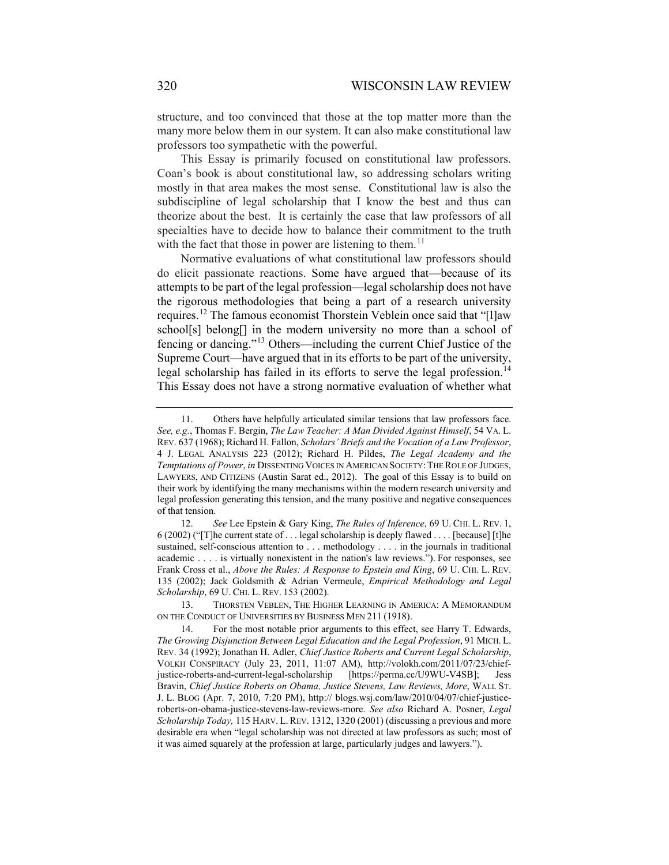structure, and too convinced that those at the top matter more than the many more below them in our system. It can also make constitutional law professors too sympathetic with the powerful.

This Essay is primarily focused on constitutional law professors. Coan's book is about constitutional law, so addressing scholars writing mostly in that area makes the most sense. Constitutional law is also the subdiscipline of legal scholarship that I know the best and thus can theorize about the best. It is certainly the case that law professors of all specialties have to decide how to balance their commitment to the truth with the fact that those in power are listening to them.<sup>[11](#page-3-0)</sup>

Normative evaluations of what constitutional law professors should do elicit passionate reactions. Some have argued that—because of its attempts to be part of the legal profession—legal scholarship does not have the rigorous methodologies that being a part of a research university requires.[12](#page-3-1) The famous economist Thorstein Veblein once said that "[l]aw school[s] belong[] in the modern university no more than a school of fencing or dancing."[13](#page-3-2) Others—including the current Chief Justice of the Supreme Court—have argued that in its efforts to be part of the university, legal scholarship has failed in its efforts to serve the legal profession.<sup>[14](#page-3-3)</sup> This Essay does not have a strong normative evaluation of whether what

<span id="page-3-2"></span>13. THORSTEN VEBLEN, THE HIGHER LEARNING IN AMERICA: A MEMORANDUM ON THE CONDUCT OF UNIVERSITIES BY BUSINESS MEN 211 (1918).

<span id="page-3-4"></span><span id="page-3-0"></span><sup>11.</sup> Others have helpfully articulated similar tensions that law professors face. *See, e.g.*, Thomas F. Bergin, *The Law Teacher: A Man Divided Against Himself*, 54 VA. L. REV. 637 (1968); Richard H. Fallon, *Scholars' Briefs and the Vocation of a Law Professor*, 4 J. LEGAL ANALYSIS 223 (2012); Richard H. Pildes, *The Legal Academy and the Temptations of Power*, *in* DISSENTING VOICES IN AMERICAN SOCIETY: THE ROLE OF JUDGES, LAWYERS, AND CITIZENS (Austin Sarat ed., 2012). The goal of this Essay is to build on their work by identifying the many mechanisms within the modern research university and legal profession generating this tension, and the many positive and negative consequences of that tension.

<span id="page-3-1"></span><sup>12.</sup> *See* Lee Epstein & Gary King, *The Rules of Inference*, 69 U. CHI. L. REV. 1, 6 (2002) ("[T]he current state of . . . legal scholarship is deeply flawed . . . . [because] [t]he sustained, self-conscious attention to . . . methodology . . . . in the journals in traditional academic . . . . is virtually nonexistent in the nation's law reviews."). For responses, see Frank Cross et al., *Above the Rules: A Response to Epstein and King*, 69 U. CHI. L. REV. 135 (2002); Jack Goldsmith & Adrian Vermeule, *Empirical Methodology and Legal Scholarship*, 69 U. CHI. L. REV. 153 (2002).

<span id="page-3-3"></span><sup>14.</sup> For the most notable prior arguments to this effect, see Harry T. Edwards, *The Growing Disjunction Between Legal Education and the Legal Profession*, 91 MICH. L. REV. 34 (1992); Jonathan H. Adler, *Chief Justice Roberts and Current Legal Scholarship*, VOLKH CONSPIRACY (July 23, 2011, 11:07 AM), http://volokh.com/2011/07/23/chiefjustice-roberts-and-current-legal-scholarship [https://perma.cc/U9WU-V4SB]; Jess Bravin, *Chief Justice Roberts on Obama, Justice Stevens, Law Reviews, More*, WALL ST. J. L. BLOG (Apr. 7, 2010, 7:20 PM), http:// blogs.wsj.com/law/2010/04/07/chief-justiceroberts-on-obama-justice-stevens-law-reviews-more. *See also* Richard A. Posner, *Legal Scholarship Today,* 115 HARV. L.REV. 1312, 1320 (2001) (discussing a previous and more desirable era when "legal scholarship was not directed at law professors as such; most of it was aimed squarely at the profession at large, particularly judges and lawyers.").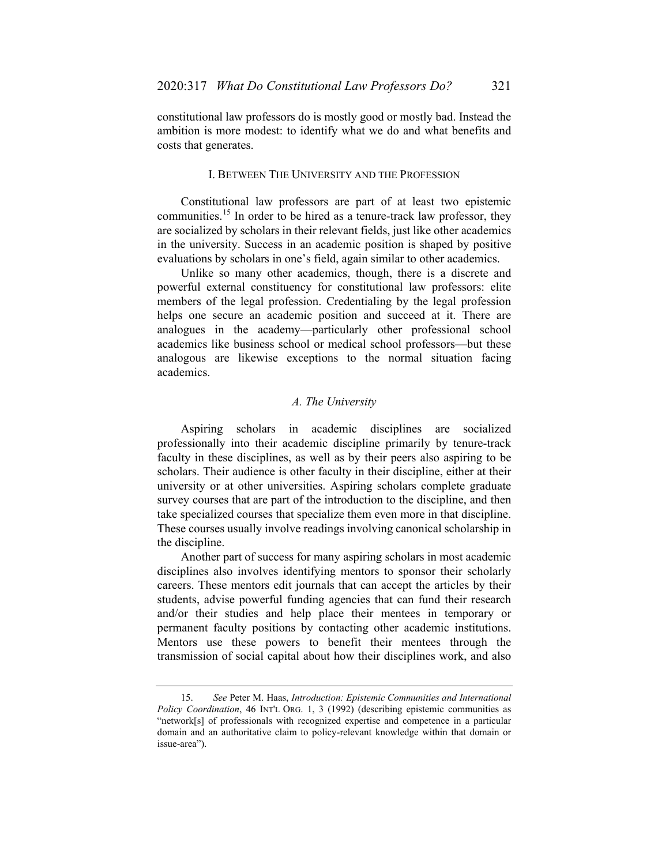constitutional law professors do is mostly good or mostly bad. Instead the ambition is more modest: to identify what we do and what benefits and costs that generates.

## I. BETWEEN THE UNIVERSITY AND THE PROFESSION

Constitutional law professors are part of at least two epistemic communities.<sup>[15](#page-4-0)</sup> In order to be hired as a tenure-track law professor, they are socialized by scholars in their relevant fields, just like other academics in the university. Success in an academic position is shaped by positive evaluations by scholars in one's field, again similar to other academics.

Unlike so many other academics, though, there is a discrete and powerful external constituency for constitutional law professors: elite members of the legal profession. Credentialing by the legal profession helps one secure an academic position and succeed at it. There are analogues in the academy—particularly other professional school academics like business school or medical school professors—but these analogous are likewise exceptions to the normal situation facing academics.

### *A. The University*

Aspiring scholars in academic disciplines are socialized professionally into their academic discipline primarily by tenure-track faculty in these disciplines, as well as by their peers also aspiring to be scholars. Their audience is other faculty in their discipline, either at their university or at other universities. Aspiring scholars complete graduate survey courses that are part of the introduction to the discipline, and then take specialized courses that specialize them even more in that discipline. These courses usually involve readings involving canonical scholarship in the discipline.

Another part of success for many aspiring scholars in most academic disciplines also involves identifying mentors to sponsor their scholarly careers. These mentors edit journals that can accept the articles by their students, advise powerful funding agencies that can fund their research and/or their studies and help place their mentees in temporary or permanent faculty positions by contacting other academic institutions. Mentors use these powers to benefit their mentees through the transmission of social capital about how their disciplines work, and also

<span id="page-4-0"></span><sup>15.</sup> *See* Peter M. Haas, *Introduction: Epistemic Communities and International Policy Coordination*, 46 INT'L ORG. 1, 3 (1992) (describing epistemic communities as "network[s] of professionals with recognized expertise and competence in a particular domain and an authoritative claim to policy-relevant knowledge within that domain or issue-area").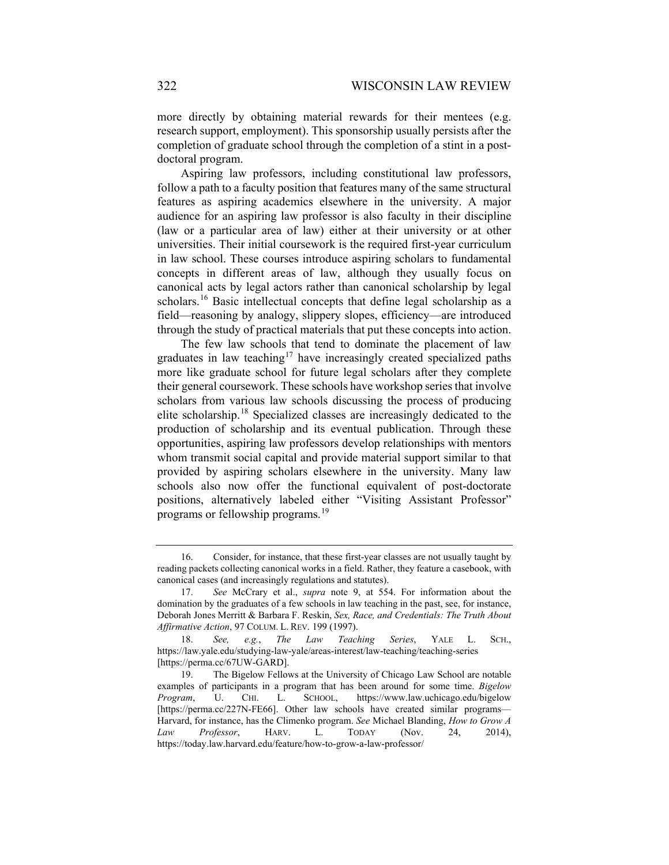more directly by obtaining material rewards for their mentees (e.g. research support, employment). This sponsorship usually persists after the completion of graduate school through the completion of a stint in a postdoctoral program.

Aspiring law professors, including constitutional law professors, follow a path to a faculty position that features many of the same structural features as aspiring academics elsewhere in the university. A major audience for an aspiring law professor is also faculty in their discipline (law or a particular area of law) either at their university or at other universities. Their initial coursework is the required first-year curriculum in law school. These courses introduce aspiring scholars to fundamental concepts in different areas of law, although they usually focus on canonical acts by legal actors rather than canonical scholarship by legal scholars.<sup>[16](#page-5-0)</sup> Basic intellectual concepts that define legal scholarship as a field—reasoning by analogy, slippery slopes, efficiency—are introduced through the study of practical materials that put these concepts into action.

The few law schools that tend to dominate the placement of law graduates in law teaching<sup>[17](#page-5-1)</sup> have increasingly created specialized paths more like graduate school for future legal scholars after they complete their general coursework. These schools have workshop series that involve scholars from various law schools discussing the process of producing elite scholarship.[18](#page-5-2) Specialized classes are increasingly dedicated to the production of scholarship and its eventual publication. Through these opportunities, aspiring law professors develop relationships with mentors whom transmit social capital and provide material support similar to that provided by aspiring scholars elsewhere in the university. Many law schools also now offer the functional equivalent of post-doctorate positions, alternatively labeled either "Visiting Assistant Professor" programs or fellowship programs.<sup>[19](#page-5-3)</sup>

<span id="page-5-0"></span><sup>16.</sup> Consider, for instance, that these first-year classes are not usually taught by reading packets collecting canonical works in a field. Rather, they feature a casebook, with canonical cases (and increasingly regulations and statutes).

<span id="page-5-1"></span><sup>17.</sup> *See* McCrary et al., *supra* note [9,](#page-2-3) at 554. For information about the domination by the graduates of a few schools in law teaching in the past, see, for instance, Deborah Jones Merritt & Barbara F. Reskin, *Sex, Race, and Credentials: The Truth About Affirmative Action*, 97 COLUM. L. REV. 199 (1997).

<span id="page-5-2"></span><sup>18.</sup> *See, e.g.*, *The Law Teaching Series*, YALE L. SCH., https://law.yale.edu/studying-law-yale/areas-interest/law-teaching/teaching-series [https://perma.cc/67UW-GARD].

<span id="page-5-3"></span><sup>19.</sup> The Bigelow Fellows at the University of Chicago Law School are notable examples of participants in a program that has been around for some time. *Bigelow Program*, U. CHI. L. SCHOOL, https://www.law.uchicago.edu/bigelow [https://perma.cc/227N-FE66]. Other law schools have created similar programs— Harvard, for instance, has the Climenko program. *See* Michael Blanding, *How to Grow A Law Professor*, HARV. L. TODAY (Nov. 24, 2014), https://today.law.harvard.edu/feature/how-to-grow-a-law-professor/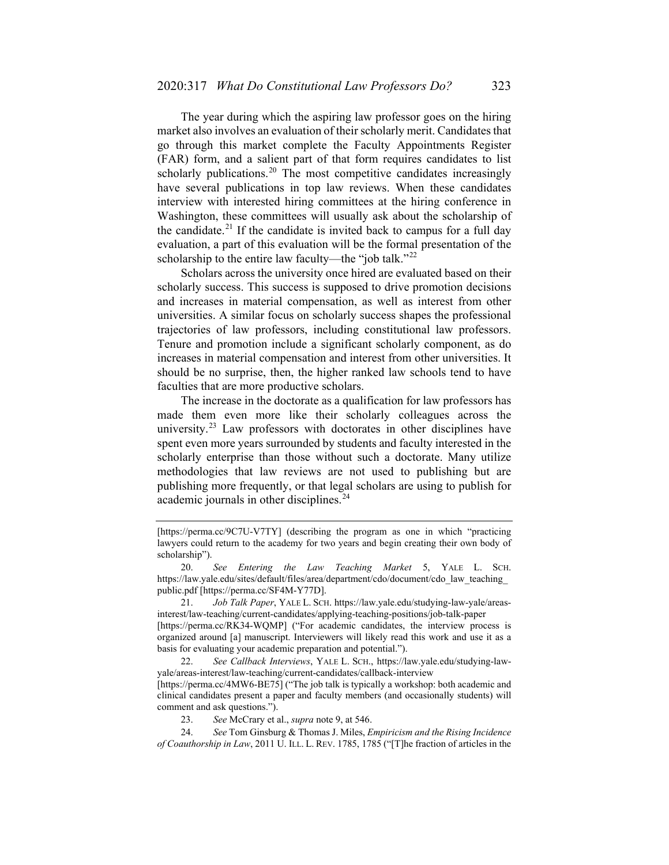The year during which the aspiring law professor goes on the hiring market also involves an evaluation of their scholarly merit. Candidates that go through this market complete the Faculty Appointments Register (FAR) form, and a salient part of that form requires candidates to list scholarly publications.<sup>[20](#page-6-0)</sup> The most competitive candidates increasingly have several publications in top law reviews. When these candidates interview with interested hiring committees at the hiring conference in Washington, these committees will usually ask about the scholarship of the candidate.<sup>[21](#page-6-1)</sup> If the candidate is invited back to campus for a full day evaluation, a part of this evaluation will be the formal presentation of the scholarship to the entire law faculty—the "job talk."<sup>[22](#page-6-2)</sup>

Scholars across the university once hired are evaluated based on their scholarly success. This success is supposed to drive promotion decisions and increases in material compensation, as well as interest from other universities. A similar focus on scholarly success shapes the professional trajectories of law professors, including constitutional law professors. Tenure and promotion include a significant scholarly component, as do increases in material compensation and interest from other universities. It should be no surprise, then, the higher ranked law schools tend to have faculties that are more productive scholars.

The increase in the doctorate as a qualification for law professors has made them even more like their scholarly colleagues across the university. $^{23}$  $^{23}$  $^{23}$  Law professors with doctorates in other disciplines have spent even more years surrounded by students and faculty interested in the scholarly enterprise than those without such a doctorate. Many utilize methodologies that law reviews are not used to publishing but are publishing more frequently, or that legal scholars are using to publish for academic journals in other disciplines.<sup>[24](#page-6-4)</sup>

<sup>[</sup>https://perma.cc/9C7U-V7TY] (describing the program as one in which "practicing lawyers could return to the academy for two years and begin creating their own body of scholarship").

<span id="page-6-0"></span><sup>20.</sup> *See Entering the Law Teaching Market* 5, YALE L. SCH. https://law.yale.edu/sites/default/files/area/department/cdo/document/cdo\_law\_teaching\_ public.pdf [https://perma.cc/SF4M-Y77D].

<span id="page-6-1"></span><sup>21.</sup> *Job Talk Paper*, YALE L. SCH. https://law.yale.edu/studying-law-yale/areasinterest/law-teaching/current-candidates/applying-teaching-positions/job-talk-paper [https://perma.cc/RK34-WQMP] ("For academic candidates, the interview process is organized around [a] manuscript. Interviewers will likely read this work and use it as a basis for evaluating your academic preparation and potential.").

<span id="page-6-2"></span><sup>22.</sup> *See Callback Interviews*, YALE L. SCH., https://law.yale.edu/studying-lawyale/areas-interest/law-teaching/current-candidates/callback-interview

<sup>[</sup>https://perma.cc/4MW6-BE75] ("The job talk is typically a workshop: both academic and clinical candidates present a paper and faculty members (and occasionally students) will comment and ask questions.").

<sup>23.</sup> *See* McCrary et al., *supra* note [9,](#page-2-3) at 546.

<span id="page-6-4"></span><span id="page-6-3"></span><sup>24.</sup> *See* Tom Ginsburg & Thomas J. Miles, *Empiricism and the Rising Incidence of Coauthorship in Law*, 2011 U. ILL. L. REV. 1785, 1785 ("[T]he fraction of articles in the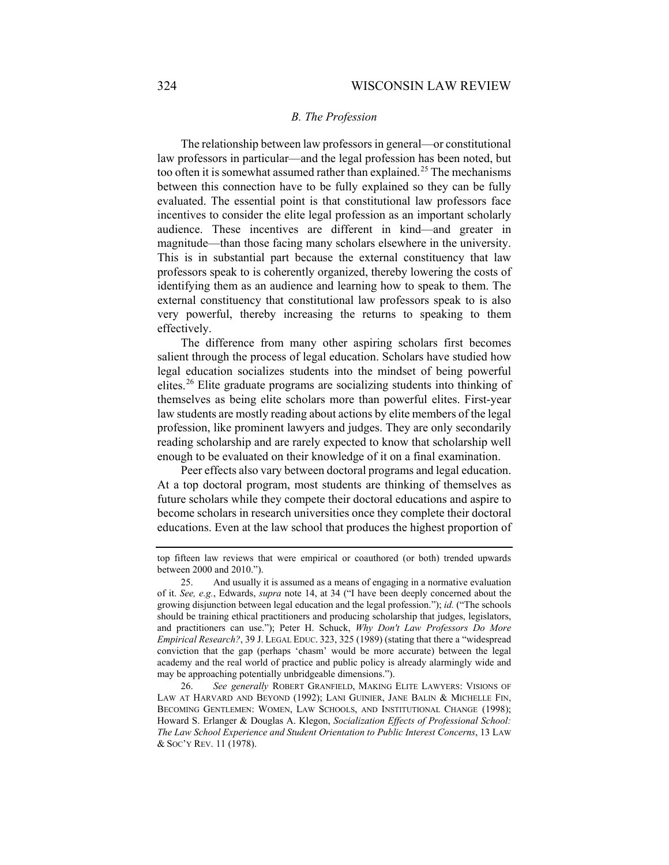### *B. The Profession*

The relationship between law professors in general—or constitutional law professors in particular—and the legal profession has been noted, but too often it is somewhat assumed rather than explained.<sup>[25](#page-7-0)</sup> The mechanisms between this connection have to be fully explained so they can be fully evaluated. The essential point is that constitutional law professors face incentives to consider the elite legal profession as an important scholarly audience. These incentives are different in kind—and greater in magnitude—than those facing many scholars elsewhere in the university. This is in substantial part because the external constituency that law professors speak to is coherently organized, thereby lowering the costs of identifying them as an audience and learning how to speak to them. The external constituency that constitutional law professors speak to is also very powerful, thereby increasing the returns to speaking to them effectively.

The difference from many other aspiring scholars first becomes salient through the process of legal education. Scholars have studied how legal education socializes students into the mindset of being powerful elites.[26](#page-7-1) Elite graduate programs are socializing students into thinking of themselves as being elite scholars more than powerful elites. First-year law students are mostly reading about actions by elite members of the legal profession, like prominent lawyers and judges. They are only secondarily reading scholarship and are rarely expected to know that scholarship well enough to be evaluated on their knowledge of it on a final examination.

Peer effects also vary between doctoral programs and legal education. At a top doctoral program, most students are thinking of themselves as future scholars while they compete their doctoral educations and aspire to become scholars in research universities once they complete their doctoral educations. Even at the law school that produces the highest proportion of

top fifteen law reviews that were empirical or coauthored (or both) trended upwards between 2000 and 2010.").

<span id="page-7-0"></span><sup>25.</sup> And usually it is assumed as a means of engaging in a normative evaluation of it. *See, e.g.*, Edwards, *supra* note [14,](#page-3-4) at 34 ("I have been deeply concerned about the growing disjunction between legal education and the legal profession."); *id.* ("The schools should be training ethical practitioners and producing scholarship that judges, legislators, and practitioners can use."); Peter H. Schuck, *Why Don't Law Professors Do More Empirical Research?*, 39 J. LEGAL EDUC. 323, 325 (1989) (stating that there a "widespread conviction that the gap (perhaps 'chasm' would be more accurate) between the legal academy and the real world of practice and public policy is already alarmingly wide and may be approaching potentially unbridgeable dimensions.").

<span id="page-7-1"></span><sup>26.</sup> *See generally* ROBERT GRANFIELD, MAKING ELITE LAWYERS: VISIONS OF LAW AT HARVARD AND BEYOND (1992); LANI GUINIER, JANE BALIN & MICHELLE FIN, BECOMING GENTLEMEN: WOMEN, LAW SCHOOLS, AND INSTITUTIONAL CHANGE (1998); Howard S. Erlanger & Douglas A. Klegon, *Socialization Effects of Professional School: The Law School Experience and Student Orientation to Public Interest Concerns*, 13 LAW & SOC'Y REV. 11 (1978).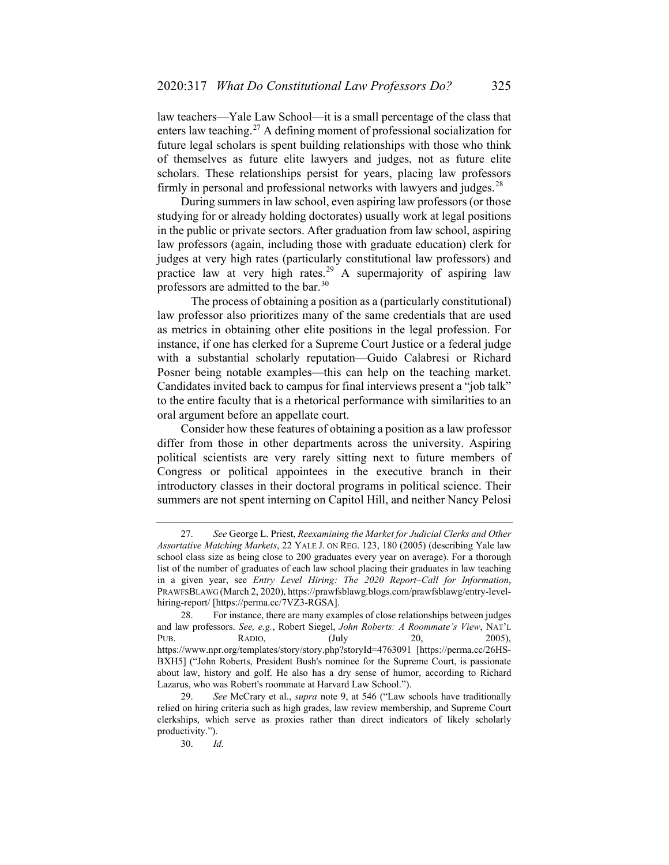law teachers—Yale Law School—it is a small percentage of the class that enters law teaching.<sup>[27](#page-8-0)</sup> A defining moment of professional socialization for future legal scholars is spent building relationships with those who think of themselves as future elite lawyers and judges, not as future elite scholars. These relationships persist for years, placing law professors firmly in personal and professional networks with lawyers and judges.<sup>[28](#page-8-1)</sup>

During summers in law school, even aspiring law professors (or those studying for or already holding doctorates) usually work at legal positions in the public or private sectors. After graduation from law school, aspiring law professors (again, including those with graduate education) clerk for judges at very high rates (particularly constitutional law professors) and practice law at very high rates.<sup>[29](#page-8-2)</sup> A supermajority of aspiring law professors are admitted to the bar.[30](#page-8-3)

The process of obtaining a position as a (particularly constitutional) law professor also prioritizes many of the same credentials that are used as metrics in obtaining other elite positions in the legal profession. For instance, if one has clerked for a Supreme Court Justice or a federal judge with a substantial scholarly reputation—Guido Calabresi or Richard Posner being notable examples—this can help on the teaching market. Candidates invited back to campus for final interviews present a "job talk" to the entire faculty that is a rhetorical performance with similarities to an oral argument before an appellate court.

Consider how these features of obtaining a position as a law professor differ from those in other departments across the university. Aspiring political scientists are very rarely sitting next to future members of Congress or political appointees in the executive branch in their introductory classes in their doctoral programs in political science. Their summers are not spent interning on Capitol Hill, and neither Nancy Pelosi

<span id="page-8-0"></span><sup>27.</sup> *See* George L. Priest, *Reexamining the Market for Judicial Clerks and Other Assortative Matching Markets*, 22 YALE J. ON REG. 123, 180 (2005) (describing Yale law school class size as being close to 200 graduates every year on average). For a thorough list of the number of graduates of each law school placing their graduates in law teaching in a given year, see *Entry Level Hiring: The 2020 Report–Call for Information*, PRAWFSBLAWG (March 2, 2020), [https://prawfsblawg.blogs.com/prawfsblawg/entry-level](https://prawfsblawg.blogs.com/prawfsblawg/entry-level-hiring-report/)[hiring-report/](https://prawfsblawg.blogs.com/prawfsblawg/entry-level-hiring-report/) [https://perma.cc/7VZ3-RGSA].

<span id="page-8-1"></span><sup>28.</sup> For instance, there are many examples of close relationships between judges and law professors. *See, e.g.*, Robert Siegel, *John Roberts: A Roommate's View*, NAT'L PUB. RADIO, (July 20, 2005), https://www.npr.org/templates/story/story.php?storyId=4763091 [https://perma.cc/26HS-BXH5] ("John Roberts, President Bush's nominee for the Supreme Court, is passionate about law, history and golf. He also has a dry sense of humor, according to Richard Lazarus, who was Robert's roommate at Harvard Law School.").

<span id="page-8-3"></span><span id="page-8-2"></span><sup>29.</sup> *See* McCrary et al., *supra* note [9,](#page-2-3) at 546 ("Law schools have traditionally relied on hiring criteria such as high grades, law review membership, and Supreme Court clerkships, which serve as proxies rather than direct indicators of likely scholarly productivity.").

<sup>30.</sup> *Id.*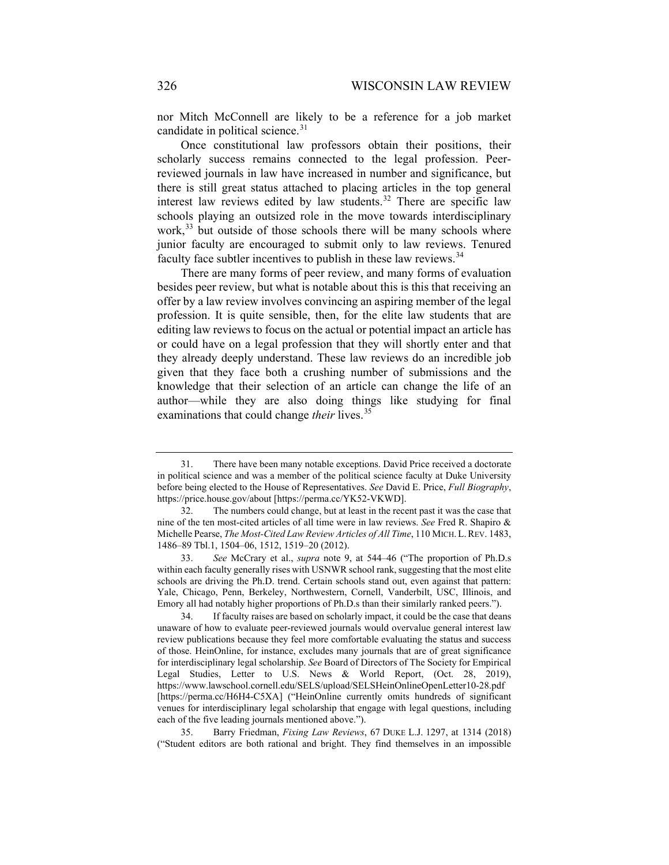nor Mitch McConnell are likely to be a reference for a job market candidate in political science.<sup>[31](#page-9-0)</sup>

Once constitutional law professors obtain their positions, their scholarly success remains connected to the legal profession. Peerreviewed journals in law have increased in number and significance, but there is still great status attached to placing articles in the top general interest law reviews edited by law students.<sup>[32](#page-9-1)</sup> There are specific law schools playing an outsized role in the move towards interdisciplinary work,<sup>[33](#page-9-2)</sup> but outside of those schools there will be many schools where junior faculty are encouraged to submit only to law reviews. Tenured faculty face subtler incentives to publish in these law reviews.<sup>[34](#page-9-3)</sup>

There are many forms of peer review, and many forms of evaluation besides peer review, but what is notable about this is this that receiving an offer by a law review involves convincing an aspiring member of the legal profession. It is quite sensible, then, for the elite law students that are editing law reviews to focus on the actual or potential impact an article has or could have on a legal profession that they will shortly enter and that they already deeply understand. These law reviews do an incredible job given that they face both a crushing number of submissions and the knowledge that their selection of an article can change the life of an author—while they are also doing things like studying for final examinations that could change *their* lives.<sup>[35](#page-9-4)</sup>

<span id="page-9-4"></span>35. Barry Friedman, *Fixing Law Reviews*, 67 DUKE L.J. 1297, at 1314 (2018) ("Student editors are both rational and bright. They find themselves in an impossible

<span id="page-9-0"></span><sup>31.</sup> There have been many notable exceptions. David Price received a doctorate in political science and was a member of the political science faculty at Duke University before being elected to the House of Representatives. *See* David E. Price, *Full Biography*, https://price.house.gov/about [https://perma.cc/YK52-VKWD].

<span id="page-9-1"></span><sup>32.</sup> The numbers could change, but at least in the recent past it was the case that nine of the ten most-cited articles of all time were in law reviews. *See* Fred R. Shapiro & Michelle Pearse, *The Most-Cited Law Review Articles of All Time*, 110 MICH.L.REV. 1483, 1486–89 Tbl.1, 1504–06, 1512, 1519–20 (2012).

<span id="page-9-2"></span><sup>33.</sup> *See* McCrary et al., *supra* note [9,](#page-2-3) at 544–46 ("The proportion of Ph.D.s within each faculty generally rises with USNWR school rank, suggesting that the most elite schools are driving the Ph.D. trend. Certain schools stand out, even against that pattern: Yale, Chicago, Penn, Berkeley, Northwestern, Cornell, Vanderbilt, USC, Illinois, and Emory all had notably higher proportions of Ph.D.s than their similarly ranked peers.").

<span id="page-9-3"></span><sup>34.</sup> If faculty raises are based on scholarly impact, it could be the case that deans unaware of how to evaluate peer-reviewed journals would overvalue general interest law review publications because they feel more comfortable evaluating the status and success of those. HeinOnline, for instance, excludes many journals that are of great significance for interdisciplinary legal scholarship. *See* Board of Directors of The Society for Empirical Legal Studies, Letter to U.S. News & World Report, (Oct. 28, 2019), https://www.lawschool.cornell.edu/SELS/upload/SELSHeinOnlineOpenLetter10-28.pdf [https://perma.cc/H6H4-C5XA] ("HeinOnline currently omits hundreds of significant venues for interdisciplinary legal scholarship that engage with legal questions, including each of the five leading journals mentioned above.").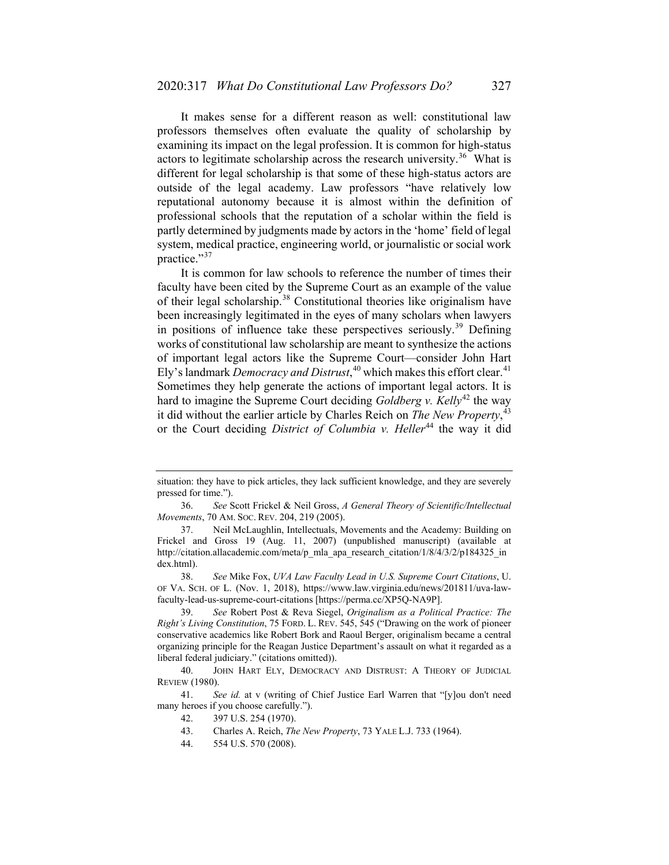It makes sense for a different reason as well: constitutional law professors themselves often evaluate the quality of scholarship by examining its impact on the legal profession. It is common for high-status actors to legitimate scholarship across the research university.<sup>[36](#page-10-0)</sup> What is different for legal scholarship is that some of these high-status actors are outside of the legal academy. Law professors "have relatively low reputational autonomy because it is almost within the definition of professional schools that the reputation of a scholar within the field is partly determined by judgments made by actors in the 'home' field of legal system, medical practice, engineering world, or journalistic or social work practice."[37](#page-10-1)

It is common for law schools to reference the number of times their faculty have been cited by the Supreme Court as an example of the value of their legal scholarship.<sup>[38](#page-10-2)</sup> Constitutional theories like originalism have been increasingly legitimated in the eyes of many scholars when lawyers in positions of influence take these perspectives seriously.<sup>[39](#page-10-3)</sup> Defining works of constitutional law scholarship are meant to synthesize the actions of important legal actors like the Supreme Court—consider John Hart Ely's landmark *Democracy and Distrust*,<sup>[40](#page-10-4)</sup> which makes this effort clear.<sup>[41](#page-10-5)</sup> Sometimes they help generate the actions of important legal actors. It is hard to imagine the Supreme Court deciding *Goldberg v. Kelly*<sup>[42](#page-10-6)</sup> the way it did without the earlier article by Charles Reich on *The New Property*, [43](#page-10-7) or the Court deciding *District of Columbia v. Heller*<sup>[44](#page-10-8)</sup> the way it did

situation: they have to pick articles, they lack sufficient knowledge, and they are severely pressed for time.").

<span id="page-10-0"></span><sup>36.</sup> *See* Scott Frickel & Neil Gross, *A General Theory of Scientific/Intellectual Movements*, 70 AM. SOC. REV. 204, 219 (2005).

<span id="page-10-1"></span><sup>37.</sup> Neil McLaughlin, Intellectuals, Movements and the Academy: Building on Frickel and Gross 19 (Aug. 11, 2007) (unpublished manuscript) (available at http://citation.allacademic.com/meta/p\_mla\_apa\_research\_citation/1/8/4/3/2/p184325\_in dex.html).

<span id="page-10-2"></span><sup>38.</sup> *See* Mike Fox, *UVA Law Faculty Lead in U.S. Supreme Court Citations*, U. OF VA. SCH. OF L. (Nov. 1, 2018), https://www.law.virginia.edu/news/201811/uva-lawfaculty-lead-us-supreme-court-citations [https://perma.cc/XP5Q-NA9P].

<span id="page-10-3"></span><sup>39.</sup> *See* Robert Post & Reva Siegel, *Originalism as a Political Practice: The Right's Living Constitution*, 75 FORD. L. REV. 545, 545 ("Drawing on the work of pioneer conservative academics like Robert Bork and Raoul Berger, originalism became a central organizing principle for the Reagan Justice Department's assault on what it regarded as a liberal federal judiciary." (citations omitted)).

<span id="page-10-4"></span><sup>40.</sup> JOHN HART ELY, DEMOCRACY AND DISTRUST: A THEORY OF JUDICIAL REVIEW (1980).

<span id="page-10-8"></span><span id="page-10-7"></span><span id="page-10-6"></span><span id="page-10-5"></span><sup>41.</sup> *See id.* at v (writing of Chief Justice Earl Warren that "[y]ou don't need many heroes if you choose carefully.").

<sup>42.</sup> 397 U.S. 254 (1970).

<sup>43.</sup> Charles A. Reich, *The New Property*, 73 YALE L.J. 733 (1964).

<sup>44.</sup> 554 U.S. 570 (2008).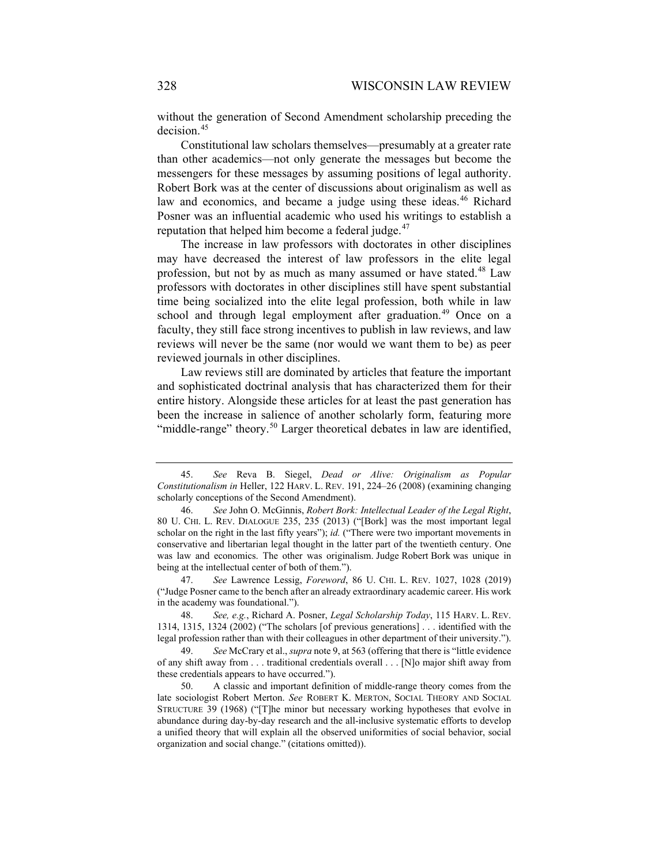<span id="page-11-6"></span>without the generation of Second Amendment scholarship preceding the decision.<sup>[45](#page-11-0)</sup>

Constitutional law scholars themselves—presumably at a greater rate than other academics—not only generate the messages but become the messengers for these messages by assuming positions of legal authority. Robert Bork was at the center of discussions about originalism as well as law and economics, and became a judge using these ideas.<sup>[46](#page-11-1)</sup> Richard Posner was an influential academic who used his writings to establish a reputation that helped him become a federal judge. $47$ 

The increase in law professors with doctorates in other disciplines may have decreased the interest of law professors in the elite legal profession, but not by as much as many assumed or have stated.<sup>[48](#page-11-3)</sup> Law professors with doctorates in other disciplines still have spent substantial time being socialized into the elite legal profession, both while in law school and through legal employment after graduation.<sup>[49](#page-11-4)</sup> Once on a faculty, they still face strong incentives to publish in law reviews, and law reviews will never be the same (nor would we want them to be) as peer reviewed journals in other disciplines.

Law reviews still are dominated by articles that feature the important and sophisticated doctrinal analysis that has characterized them for their entire history. Alongside these articles for at least the past generation has been the increase in salience of another scholarly form, featuring more "middle-range" theory.<sup>[50](#page-11-5)</sup> Larger theoretical debates in law are identified,

<span id="page-11-2"></span>47. *See* Lawrence Lessig, *Foreword*, 86 U. CHI. L. REV. 1027, 1028 (2019) ("Judge Posner came to the bench after an already extraordinary academic career. His work in the academy was foundational.").

<span id="page-11-3"></span>48. *See, e.g.*, Richard A. Posner, *Legal Scholarship Today*, 115 HARV. L. REV. 1314, 1315, 1324 (2002) ("The scholars [of previous generations] . . . identified with the legal profession rather than with their colleagues in other department of their university.").

<span id="page-11-4"></span>49. *See* McCrary et al., *supra* not[e 9,](#page-2-3) at 563 (offering that there is "little evidence of any shift away from . . . traditional credentials overall . . . [N]o major shift away from these credentials appears to have occurred.").

<span id="page-11-5"></span>50. A classic and important definition of middle-range theory comes from the late sociologist Robert Merton. *See* ROBERT K. MERTON, SOCIAL THEORY AND SOCIAL STRUCTURE 39 (1968) ("[T]he minor but necessary working hypotheses that evolve in abundance during day-by-day research and the all-inclusive systematic efforts to develop a unified theory that will explain all the observed uniformities of social behavior, social organization and social change." (citations omitted)).

<span id="page-11-0"></span><sup>45.</sup> *See* Reva B. Siegel, *Dead or Alive: Originalism as Popular Constitutionalism in* Heller, 122 HARV. L. REV. 191, 224–26 (2008) (examining changing scholarly conceptions of the Second Amendment).

<span id="page-11-1"></span><sup>46.</sup> *See* John O. McGinnis, *Robert Bork: Intellectual Leader of the Legal Right*, 80 U. CHI. L. REV. DIALOGUE 235, 235 (2013) ("[Bork] was the most important legal scholar on the right in the last fifty years"); *id.* ("There were two important movements in conservative and libertarian legal thought in the latter part of the twentieth century. One was law and economics. The other was originalism. Judge Robert Bork was unique in being at the intellectual center of both of them.").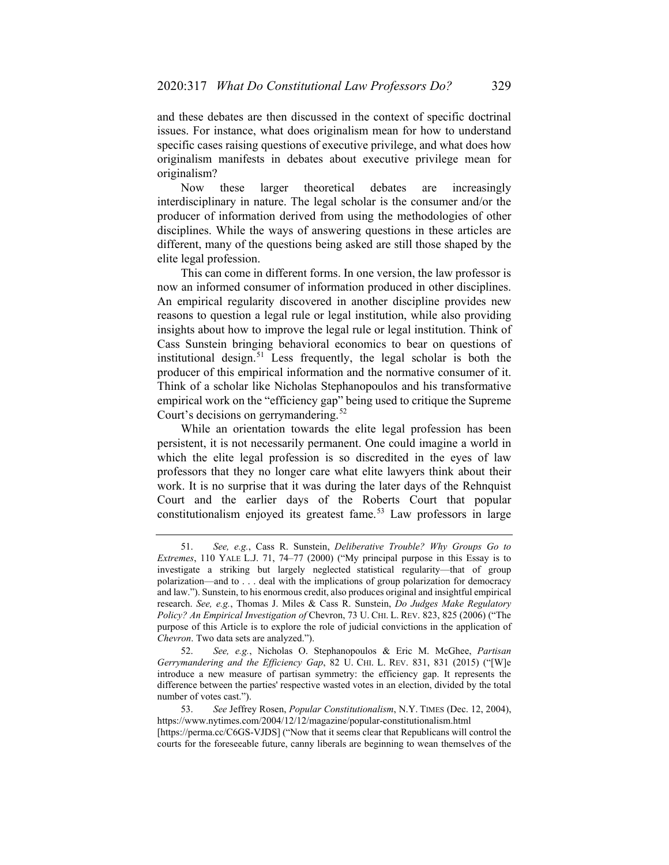and these debates are then discussed in the context of specific doctrinal issues. For instance, what does originalism mean for how to understand specific cases raising questions of executive privilege, and what does how originalism manifests in debates about executive privilege mean for originalism?

Now these larger theoretical debates are increasingly interdisciplinary in nature. The legal scholar is the consumer and/or the producer of information derived from using the methodologies of other disciplines. While the ways of answering questions in these articles are different, many of the questions being asked are still those shaped by the elite legal profession.

This can come in different forms. In one version, the law professor is now an informed consumer of information produced in other disciplines. An empirical regularity discovered in another discipline provides new reasons to question a legal rule or legal institution, while also providing insights about how to improve the legal rule or legal institution. Think of Cass Sunstein bringing behavioral economics to bear on questions of institutional design.<sup>[51](#page-12-0)</sup> Less frequently, the legal scholar is both the producer of this empirical information and the normative consumer of it. Think of a scholar like Nicholas Stephanopoulos and his transformative empirical work on the "efficiency gap" being used to critique the Supreme Court's decisions on gerrymandering.<sup>[52](#page-12-1)</sup>

While an orientation towards the elite legal profession has been persistent, it is not necessarily permanent. One could imagine a world in which the elite legal profession is so discredited in the eyes of law professors that they no longer care what elite lawyers think about their work. It is no surprise that it was during the later days of the Rehnquist Court and the earlier days of the Roberts Court that popular constitutionalism enjoyed its greatest fame.<sup>[53](#page-12-2)</sup> Law professors in large

<span id="page-12-0"></span><sup>51.</sup> *See, e.g.*, Cass R. Sunstein, *Deliberative Trouble? Why Groups Go to Extremes*, 110 YALE L.J. 71, 74–77 (2000) ("My principal purpose in this Essay is to investigate a striking but largely neglected statistical regularity—that of group polarization—and to . . . deal with the implications of group polarization for democracy and law."). Sunstein, to his enormous credit, also produces original and insightful empirical research. *See, e.g.*, Thomas J. Miles & Cass R. Sunstein, *Do Judges Make Regulatory Policy? An Empirical Investigation of* Chevron, 73 U. CHI. L. REV. 823, 825 (2006) ("The purpose of this Article is to explore the role of judicial convictions in the application of *Chevron*. Two data sets are analyzed.").

<span id="page-12-1"></span><sup>52.</sup> *See, e.g.*, Nicholas O. Stephanopoulos & Eric M. McGhee, *Partisan Gerrymandering and the Efficiency Gap*, 82 U. CHI. L. REV. 831, 831 (2015) ("[W]e introduce a new measure of partisan symmetry: the efficiency gap. It represents the difference between the parties' respective wasted votes in an election, divided by the total number of votes cast.").

<span id="page-12-2"></span><sup>53.</sup> *See* Jeffrey Rosen, *Popular Constitutionalism*, N.Y. TIMES (Dec. 12, 2004), https://www.nytimes.com/2004/12/12/magazine/popular-constitutionalism.html [https://perma.cc/C6GS-VJDS] ("Now that it seems clear that Republicans will control the courts for the foreseeable future, canny liberals are beginning to wean themselves of the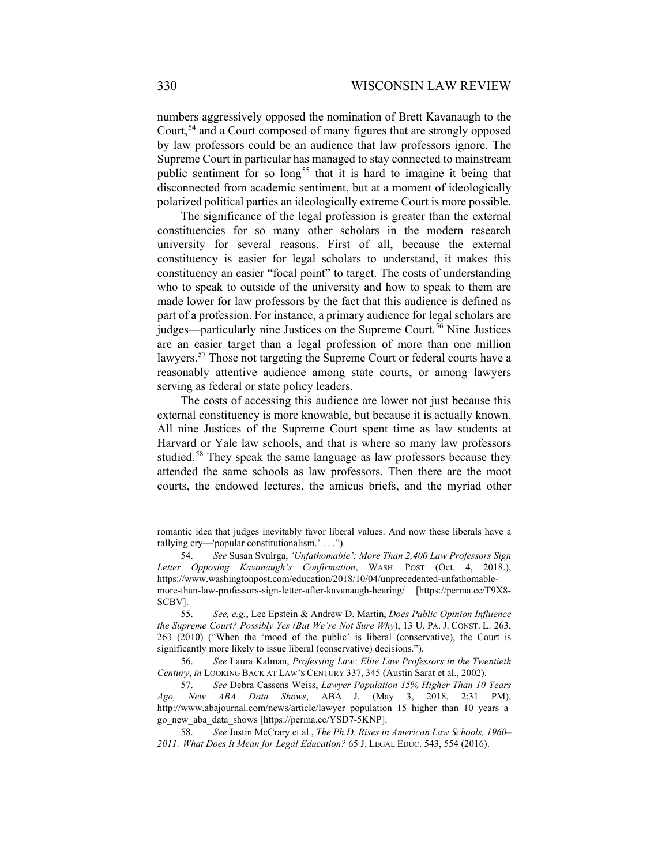numbers aggressively opposed the nomination of Brett Kavanaugh to the Court,<sup>[54](#page-13-0)</sup> and a Court composed of many figures that are strongly opposed by law professors could be an audience that law professors ignore. The Supreme Court in particular has managed to stay connected to mainstream public sentiment for so long<sup>[55](#page-13-1)</sup> that it is hard to imagine it being that disconnected from academic sentiment, but at a moment of ideologically polarized political parties an ideologically extreme Court is more possible.

The significance of the legal profession is greater than the external constituencies for so many other scholars in the modern research university for several reasons. First of all, because the external constituency is easier for legal scholars to understand, it makes this constituency an easier "focal point" to target. The costs of understanding who to speak to outside of the university and how to speak to them are made lower for law professors by the fact that this audience is defined as part of a profession. For instance, a primary audience for legal scholars are judges—particularly nine Justices on the Supreme Court.<sup>[56](#page-13-2)</sup> Nine Justices are an easier target than a legal profession of more than one million lawyers.<sup>[57](#page-13-3)</sup> Those not targeting the Supreme Court or federal courts have a reasonably attentive audience among state courts, or among lawyers serving as federal or state policy leaders.

The costs of accessing this audience are lower not just because this external constituency is more knowable, but because it is actually known. All nine Justices of the Supreme Court spent time as law students at Harvard or Yale law schools, and that is where so many law professors studied.<sup>[58](#page-13-4)</sup> They speak the same language as law professors because they attended the same schools as law professors. Then there are the moot courts, the endowed lectures, the amicus briefs, and the myriad other

romantic idea that judges inevitably favor liberal values. And now these liberals have a rallying cry—'popular constitutionalism.' . . .").

<span id="page-13-0"></span><sup>54.</sup> *See* Susan Svulrga, *'Unfathomable': More Than 2,400 Law Professors Sign Letter Opposing Kavanaugh's Confirmation*, WASH. POST (Oct. 4, 2018.), https://www.washingtonpost.com/education/2018/10/04/unprecedented-unfathomablemore-than-law-professors-sign-letter-after-kavanaugh-hearing/ [https://perma.cc/T9X8- SCBV].

<span id="page-13-1"></span><sup>55.</sup> *See, e.g.*, Lee Epstein & Andrew D. Martin, *Does Public Opinion Influence the Supreme Court? Possibly Yes (But We're Not Sure Why*), 13 U. PA. J. CONST. L. 263, 263 (2010) ("When the 'mood of the public' is liberal (conservative), the Court is significantly more likely to issue liberal (conservative) decisions.").

<span id="page-13-2"></span><sup>56.</sup> *See* Laura Kalman, *Professing Law: Elite Law Professors in the Twentieth Century*, *in* LOOKING BACK AT LAW'S CENTURY 337, 345 (Austin Sarat et al., 2002).

<span id="page-13-3"></span><sup>57.</sup> *See* Debra Cassens Weiss, *Lawyer Population 15% Higher Than 10 Years Ago, New ABA Data Shows*, ABA J. (May 3, 2018, 2:31 PM), http://www.abajournal.com/news/article/lawyer\_population\_15\_higher\_than\_10\_years\_a go\_new\_aba\_data\_shows [https://perma.cc/YSD7-5KNP].

<span id="page-13-4"></span><sup>58.</sup> *See* Justin McCrary et al., *The Ph.D. Rises in American Law Schools, 1960– 2011: What Does It Mean for Legal Education?* 65 J. LEGAL EDUC. 543, 554 (2016).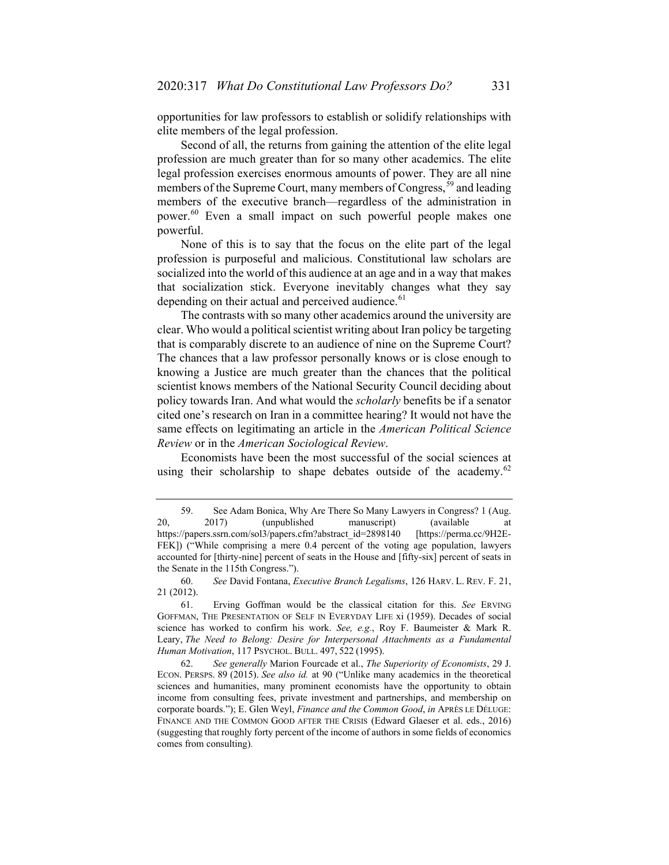opportunities for law professors to establish or solidify relationships with elite members of the legal profession.

Second of all, the returns from gaining the attention of the elite legal profession are much greater than for so many other academics. The elite legal profession exercises enormous amounts of power. They are all nine members of the Supreme Court, many members of Congress,<sup>[59](#page-14-0)</sup> and leading members of the executive branch—regardless of the administration in power.[60](#page-14-1) Even a small impact on such powerful people makes one powerful.

None of this is to say that the focus on the elite part of the legal profession is purposeful and malicious. Constitutional law scholars are socialized into the world of this audience at an age and in a way that makes that socialization stick. Everyone inevitably changes what they say depending on their actual and perceived audience.<sup>[61](#page-14-2)</sup>

The contrasts with so many other academics around the university are clear. Who would a political scientist writing about Iran policy be targeting that is comparably discrete to an audience of nine on the Supreme Court? The chances that a law professor personally knows or is close enough to knowing a Justice are much greater than the chances that the political scientist knows members of the National Security Council deciding about policy towards Iran. And what would the *scholarly* benefits be if a senator cited one's research on Iran in a committee hearing? It would not have the same effects on legitimating an article in the *American Political Science Review* or in the *American Sociological Review*.

<span id="page-14-4"></span>Economists have been the most successful of the social sciences at using their scholarship to shape debates outside of the academy.<sup>[62](#page-14-3)</sup>

<span id="page-14-0"></span><sup>59.</sup> See Adam Bonica, Why Are There So Many Lawyers in Congress? 1 (Aug. 20, 2017) (unpublished manuscript) (available at https://papers.ssrn.com/sol3/papers.cfm?abstract\_id=2898140 [https://perma.cc/9H2E-FEK]) ("While comprising a mere 0.4 percent of the voting age population, lawyers accounted for [thirty-nine] percent of seats in the House and [fifty-six] percent of seats in the Senate in the 115th Congress.").

<span id="page-14-1"></span><sup>60.</sup> *See* David Fontana, *Executive Branch Legalisms*, 126 HARV. L. REV. F. 21, 21 (2012).

<span id="page-14-2"></span><sup>61.</sup> Erving Goffman would be the classical citation for this. *See* ERVING GOFFMAN, THE PRESENTATION OF SELF IN EVERYDAY LIFE xi (1959). Decades of social science has worked to confirm his work. *See, e.g.*, Roy F. Baumeister & Mark R. Leary, *The Need to Belong: Desire for Interpersonal Attachments as a Fundamental Human Motivation*, 117 PSYCHOL. BULL. 497, 522 (1995).

<span id="page-14-3"></span><sup>62.</sup> *See generally* Marion Fourcade et al., *The Superiority of Economists*, 29 J. ECON. PERSPS. 89 (2015). *See also id.* at 90 ("Unlike many academics in the theoretical sciences and humanities, many prominent economists have the opportunity to obtain income from consulting fees, private investment and partnerships, and membership on corporate boards."); E. Glen Weyl, *Finance and the Common Good*, *in* APRÈS LE DÉLUGE: FINANCE AND THE COMMON GOOD AFTER THE CRISIS (Edward Glaeser et al. eds., 2016) (suggesting that roughly forty percent of the income of authors in some fields of economics comes from consulting)*.*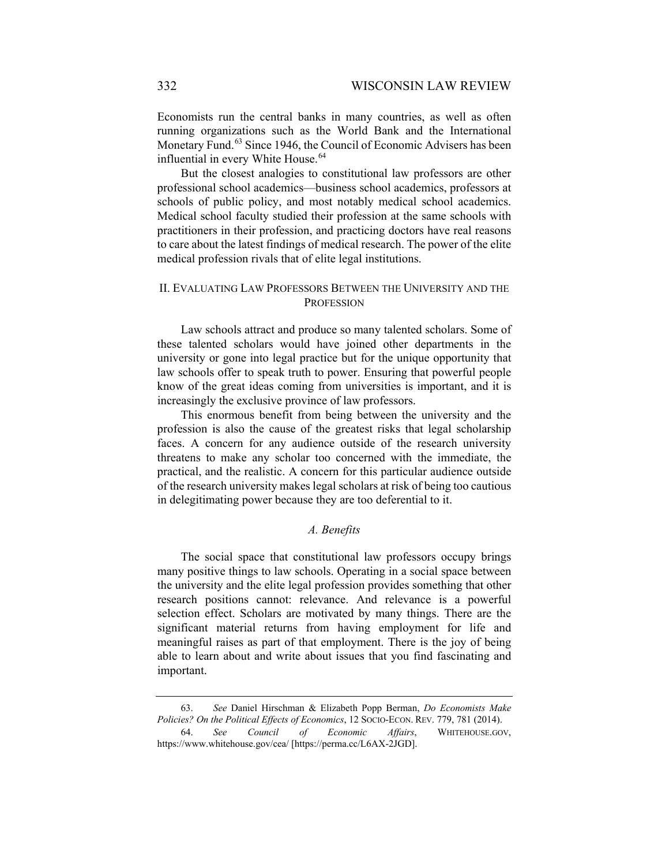Economists run the central banks in many countries, as well as often running organizations such as the World Bank and the International Monetary Fund.<sup>[63](#page-15-0)</sup> Since 1946, the Council of Economic Advisers has been influential in every White House.<sup>[64](#page-15-1)</sup>

But the closest analogies to constitutional law professors are other professional school academics—business school academics, professors at schools of public policy, and most notably medical school academics. Medical school faculty studied their profession at the same schools with practitioners in their profession, and practicing doctors have real reasons to care about the latest findings of medical research. The power of the elite medical profession rivals that of elite legal institutions.

### II. EVALUATING LAW PROFESSORS BETWEEN THE UNIVERSITY AND THE **PROFESSION**

Law schools attract and produce so many talented scholars. Some of these talented scholars would have joined other departments in the university or gone into legal practice but for the unique opportunity that law schools offer to speak truth to power. Ensuring that powerful people know of the great ideas coming from universities is important, and it is increasingly the exclusive province of law professors.

This enormous benefit from being between the university and the profession is also the cause of the greatest risks that legal scholarship faces. A concern for any audience outside of the research university threatens to make any scholar too concerned with the immediate, the practical, and the realistic. A concern for this particular audience outside of the research university makes legal scholars at risk of being too cautious in delegitimating power because they are too deferential to it.

### *A. Benefits*

The social space that constitutional law professors occupy brings many positive things to law schools. Operating in a social space between the university and the elite legal profession provides something that other research positions cannot: relevance. And relevance is a powerful selection effect. Scholars are motivated by many things. There are the significant material returns from having employment for life and meaningful raises as part of that employment. There is the joy of being able to learn about and write about issues that you find fascinating and important.

<sup>63.</sup> *See* Daniel Hirschman & Elizabeth Popp Berman, *Do Economists Make Policies? On the Political Effects of Economics*, 12 SOCIO-ECON. REV. 779, 781 (2014). 64. *See Council of Economic Affairs*, WHITEHOUSE.GOV,

<span id="page-15-1"></span><span id="page-15-0"></span>https://www.whitehouse.gov/cea/ [https://perma.cc/L6AX-2JGD].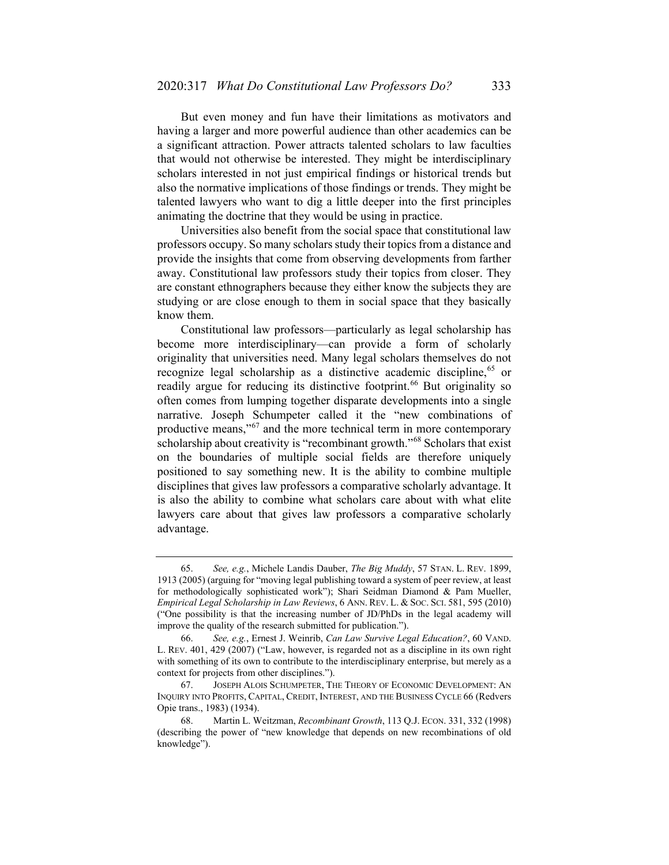But even money and fun have their limitations as motivators and having a larger and more powerful audience than other academics can be a significant attraction. Power attracts talented scholars to law faculties that would not otherwise be interested. They might be interdisciplinary scholars interested in not just empirical findings or historical trends but also the normative implications of those findings or trends. They might be talented lawyers who want to dig a little deeper into the first principles animating the doctrine that they would be using in practice.

Universities also benefit from the social space that constitutional law professors occupy. So many scholars study their topics from a distance and provide the insights that come from observing developments from farther away. Constitutional law professors study their topics from closer. They are constant ethnographers because they either know the subjects they are studying or are close enough to them in social space that they basically know them.

Constitutional law professors—particularly as legal scholarship has become more interdisciplinary—can provide a form of scholarly originality that universities need. Many legal scholars themselves do not recognize legal scholarship as a distinctive academic discipline,<sup>[65](#page-16-0)</sup> or readily argue for reducing its distinctive footprint.<sup>[66](#page-16-1)</sup> But originality so often comes from lumping together disparate developments into a single narrative. Joseph Schumpeter called it the "new combinations of productive means,"[67](#page-16-2) and the more technical term in more contemporary scholarship about creativity is "recombinant growth."<sup>[68](#page-16-3)</sup> Scholars that exist on the boundaries of multiple social fields are therefore uniquely positioned to say something new. It is the ability to combine multiple disciplines that gives law professors a comparative scholarly advantage. It is also the ability to combine what scholars care about with what elite lawyers care about that gives law professors a comparative scholarly advantage.

<span id="page-16-0"></span><sup>65.</sup> *See, e.g.*, Michele Landis Dauber, *The Big Muddy*, 57 STAN. L. REV. 1899, 1913 (2005) (arguing for "moving legal publishing toward a system of peer review, at least for methodologically sophisticated work"); Shari Seidman Diamond & Pam Mueller, *Empirical Legal Scholarship in Law Reviews*, 6 ANN. REV. L. & SOC. SCI. 581, 595 (2010) ("One possibility is that the increasing number of JD/PhDs in the legal academy will improve the quality of the research submitted for publication.").

<span id="page-16-1"></span><sup>66.</sup> *See, e.g.*, Ernest J. Weinrib, *Can Law Survive Legal Education?*, 60 VAND. L. REV. 401, 429 (2007) ("Law, however, is regarded not as a discipline in its own right with something of its own to contribute to the interdisciplinary enterprise, but merely as a context for projects from other disciplines.").

<span id="page-16-2"></span><sup>67.</sup> JOSEPH ALOIS SCHUMPETER, THE THEORY OF ECONOMIC DEVELOPMENT: AN INQUIRY INTO PROFITS, CAPITAL, CREDIT, INTEREST, AND THE BUSINESS CYCLE 66 (Redvers Opie trans., 1983) (1934).

<span id="page-16-3"></span><sup>68.</sup> Martin L. Weitzman, *Recombinant Growth*, 113 Q.J. ECON. 331, 332 (1998) (describing the power of "new knowledge that depends on new recombinations of old knowledge").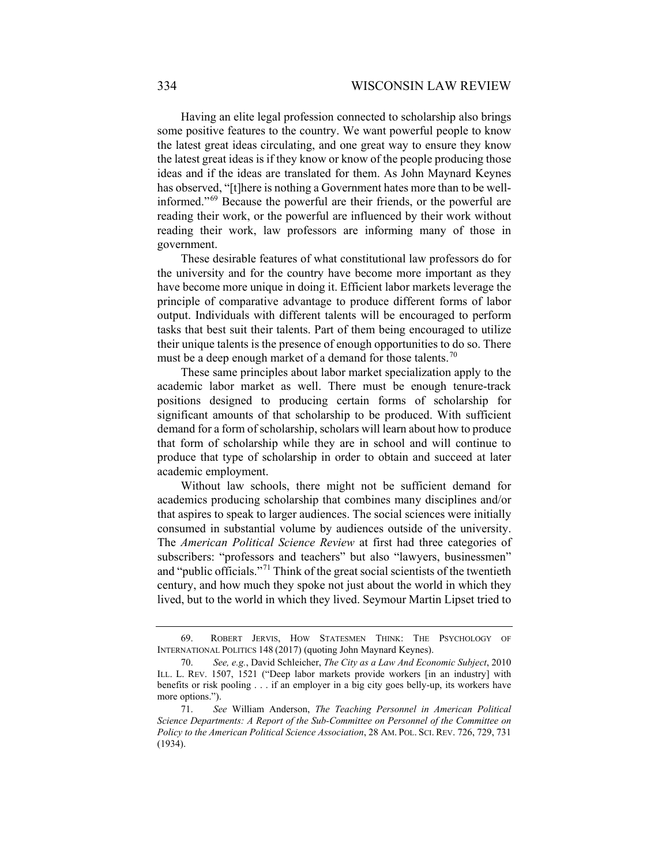Having an elite legal profession connected to scholarship also brings some positive features to the country. We want powerful people to know the latest great ideas circulating, and one great way to ensure they know the latest great ideas is if they know or know of the people producing those ideas and if the ideas are translated for them. As John Maynard Keynes has observed, "[t]here is nothing a Government hates more than to be wellinformed."[69](#page-17-0) Because the powerful are their friends, or the powerful are reading their work, or the powerful are influenced by their work without reading their work, law professors are informing many of those in government.

These desirable features of what constitutional law professors do for the university and for the country have become more important as they have become more unique in doing it. Efficient labor markets leverage the principle of comparative advantage to produce different forms of labor output. Individuals with different talents will be encouraged to perform tasks that best suit their talents. Part of them being encouraged to utilize their unique talents is the presence of enough opportunities to do so. There must be a deep enough market of a demand for those talents.<sup>[70](#page-17-1)</sup>

These same principles about labor market specialization apply to the academic labor market as well. There must be enough tenure-track positions designed to producing certain forms of scholarship for significant amounts of that scholarship to be produced. With sufficient demand for a form of scholarship, scholars will learn about how to produce that form of scholarship while they are in school and will continue to produce that type of scholarship in order to obtain and succeed at later academic employment.

Without law schools, there might not be sufficient demand for academics producing scholarship that combines many disciplines and/or that aspires to speak to larger audiences. The social sciences were initially consumed in substantial volume by audiences outside of the university. The *American Political Science Review* at first had three categories of subscribers: "professors and teachers" but also "lawyers, businessmen" and "public officials."[71](#page-17-2) Think of the great social scientists of the twentieth century, and how much they spoke not just about the world in which they lived, but to the world in which they lived. Seymour Martin Lipset tried to

<span id="page-17-0"></span><sup>69.</sup> ROBERT JERVIS, HOW STATESMEN THINK: THE PSYCHOLOGY OF INTERNATIONAL POLITICS 148 (2017) (quoting John Maynard Keynes).

<span id="page-17-1"></span><sup>70.</sup> *See, e.g.*, David Schleicher, *The City as a Law And Economic Subject*, 2010 ILL. L. REV. 1507, 1521 ("Deep labor markets provide workers [in an industry] with benefits or risk pooling . . . if an employer in a big city goes belly-up, its workers have more options.").

<span id="page-17-2"></span><sup>71.</sup> *See* William Anderson, *The Teaching Personnel in American Political Science Departments: A Report of the Sub-Committee on Personnel of the Committee on Policy to the American Political Science Association*, 28 AM. POL. SCI. REV. 726, 729, 731 (1934).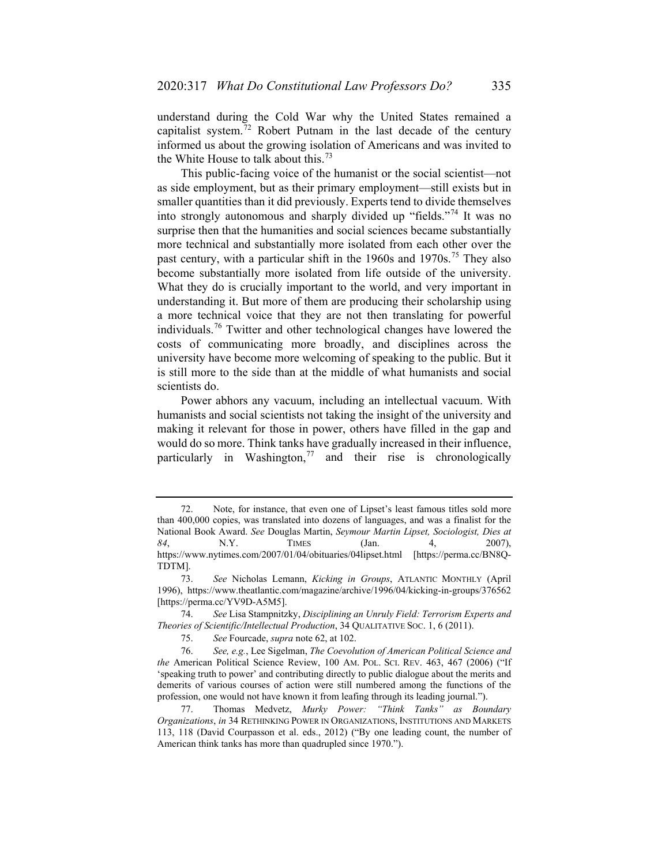understand during the Cold War why the United States remained a capitalist system.<sup>[72](#page-18-0)</sup> Robert Putnam in the last decade of the century informed us about the growing isolation of Americans and was invited to the White House to talk about this.<sup>[73](#page-18-1)</sup>

This public-facing voice of the humanist or the social scientist—not as side employment, but as their primary employment—still exists but in smaller quantities than it did previously. Experts tend to divide themselves into strongly autonomous and sharply divided up "fields."[74](#page-18-2) It was no surprise then that the humanities and social sciences became substantially more technical and substantially more isolated from each other over the past century, with a particular shift in the 1960s and 1970s.<sup>[75](#page-18-3)</sup> They also become substantially more isolated from life outside of the university. What they do is crucially important to the world, and very important in understanding it. But more of them are producing their scholarship using a more technical voice that they are not then translating for powerful individuals.[76](#page-18-4) Twitter and other technological changes have lowered the costs of communicating more broadly, and disciplines across the university have become more welcoming of speaking to the public. But it is still more to the side than at the middle of what humanists and social scientists do.

<span id="page-18-6"></span>Power abhors any vacuum, including an intellectual vacuum. With humanists and social scientists not taking the insight of the university and making it relevant for those in power, others have filled in the gap and would do so more. Think tanks have gradually increased in their influence, particularly in Washington, $77$  and their rise is chronologically

<span id="page-18-0"></span><sup>72.</sup> Note, for instance, that even one of Lipset's least famous titles sold more than 400,000 copies, was translated into dozens of languages, and was a finalist for the National Book Award. *See* Douglas Martin, *Seymour Martin Lipset, Sociologist, Dies at 84*, N.Y. TIMES (Jan. 4, 2007), https://www.nytimes.com/2007/01/04/obituaries/04lipset.html [https://perma.cc/BN8Q-TDTM].

<span id="page-18-1"></span><sup>73.</sup> *See* Nicholas Lemann, *Kicking in Groups*, ATLANTIC MONTHLY (April 1996), https://www.theatlantic.com/magazine/archive/1996/04/kicking-in-groups/376562 [https://perma.cc/YV9D-A5M5].

<span id="page-18-2"></span><sup>74.</sup> *See* Lisa Stampnitzky, *Disciplining an Unruly Field: Terrorism Experts and Theories of Scientific/Intellectual Production*, 34 QUALITATIVE SOC. 1, 6 (2011).

<sup>75.</sup> *See* Fourcade, *supra* not[e 62,](#page-14-4) at 102.

<span id="page-18-4"></span><span id="page-18-3"></span><sup>76.</sup> *See, e.g.*, Lee Sigelman, *The Coevolution of American Political Science and the* American Political Science Review, 100 AM. POL. SCI. REV. 463, 467 (2006) ("If 'speaking truth to power' and contributing directly to public dialogue about the merits and demerits of various courses of action were still numbered among the functions of the profession, one would not have known it from leafing through its leading journal.").

<span id="page-18-5"></span><sup>77.</sup> Thomas Medvetz, *Murky Power: "Think Tanks" as Boundary Organizations*, *in* 34 RETHINKING POWER IN ORGANIZATIONS, INSTITUTIONS AND MARKETS 113, 118 (David Courpasson et al. eds., 2012) ("By one leading count, the number of American think tanks has more than quadrupled since 1970.").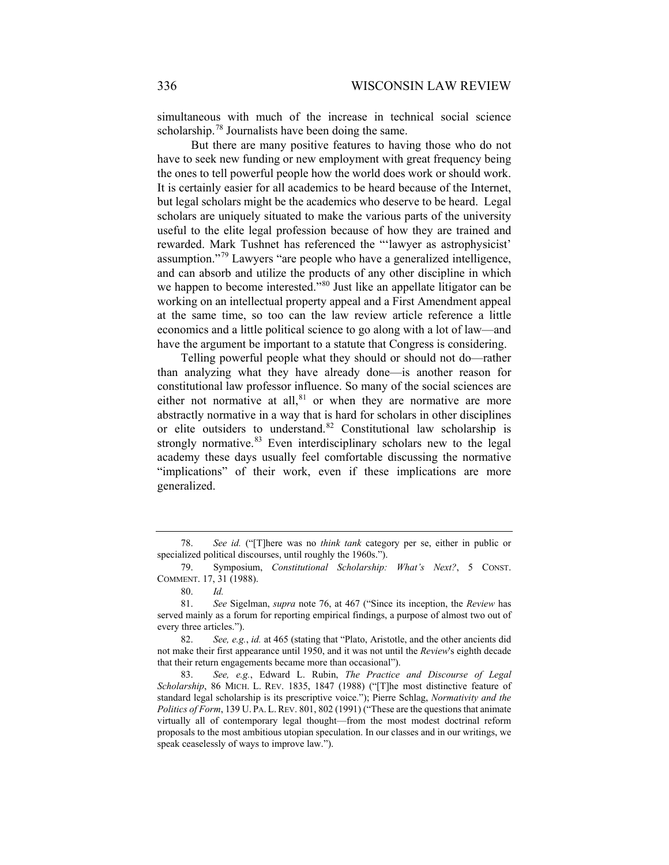simultaneous with much of the increase in technical social science scholarship.<sup>[78](#page-19-0)</sup> Journalists have been doing the same.

But there are many positive features to having those who do not have to seek new funding or new employment with great frequency being the ones to tell powerful people how the world does work or should work. It is certainly easier for all academics to be heard because of the Internet, but legal scholars might be the academics who deserve to be heard. Legal scholars are uniquely situated to make the various parts of the university useful to the elite legal profession because of how they are trained and rewarded. Mark Tushnet has referenced the "'lawyer as astrophysicist' assumption."[79](#page-19-1) Lawyers "are people who have a generalized intelligence, and can absorb and utilize the products of any other discipline in which we happen to become interested."<sup>[80](#page-19-2)</sup> Just like an appellate litigator can be working on an intellectual property appeal and a First Amendment appeal at the same time, so too can the law review article reference a little economics and a little political science to go along with a lot of law—and have the argument be important to a statute that Congress is considering.

Telling powerful people what they should or should not do—rather than analyzing what they have already done—is another reason for constitutional law professor influence. So many of the social sciences are either not normative at all, $81$  or when they are normative are more abstractly normative in a way that is hard for scholars in other disciplines or elite outsiders to understand.<sup>[82](#page-19-4)</sup> Constitutional law scholarship is strongly normative. $83$  Even interdisciplinary scholars new to the legal academy these days usually feel comfortable discussing the normative "implications" of their work, even if these implications are more generalized.

<span id="page-19-0"></span><sup>78.</sup> *See id.* ("[T]here was no *think tank* category per se, either in public or specialized political discourses, until roughly the 1960s.").

<span id="page-19-1"></span><sup>79.</sup> Symposium, *Constitutional Scholarship: What's Next?*, 5 CONST. COMMENT. 17, 31 (1988).

<sup>80.</sup> *Id.*

<span id="page-19-3"></span><span id="page-19-2"></span><sup>81.</sup> *See* Sigelman, *supra* note [76,](#page-18-6) at 467 ("Since its inception, the *Review* has served mainly as a forum for reporting empirical findings, a purpose of almost two out of every three articles.").

<span id="page-19-4"></span><sup>82.</sup> *See, e.g.*, *id.* at 465 (stating that "Plato, Aristotle, and the other ancients did not make their first appearance until 1950, and it was not until the *Review*'s eighth decade that their return engagements became more than occasional").

<span id="page-19-5"></span><sup>83.</sup> *See, e.g.*, Edward L. Rubin, *The Practice and Discourse of Legal Scholarship*, 86 MICH. L. REV. 1835, 1847 (1988) ("[T]he most distinctive feature of standard legal scholarship is its prescriptive voice."); Pierre Schlag, *Normativity and the Politics of Form*, 139 U. PA. L. REV. 801, 802 (1991) ("These are the questions that animate virtually all of contemporary legal thought—from the most modest doctrinal reform proposals to the most ambitious utopian speculation. In our classes and in our writings, we speak ceaselessly of ways to improve law.").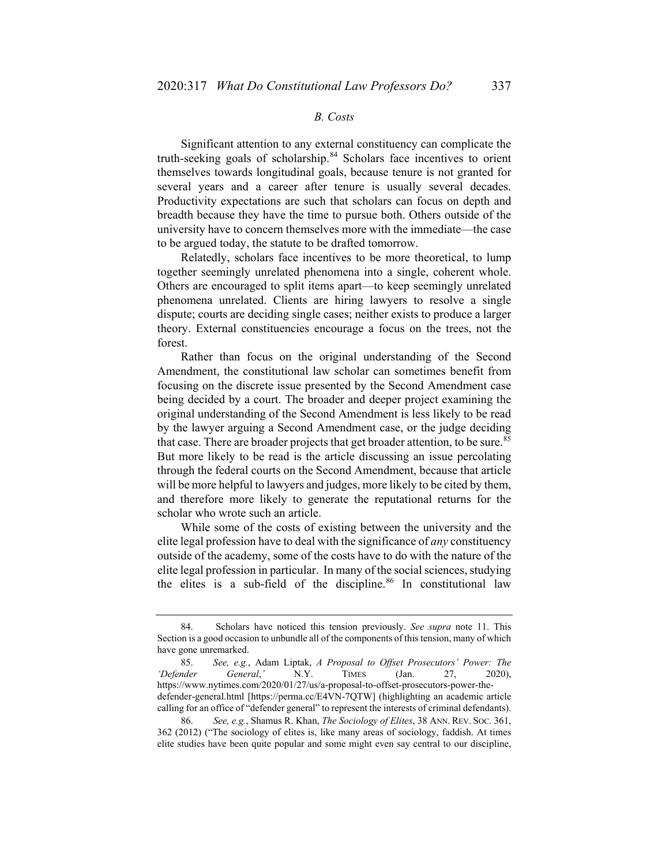## *B. Costs*

Significant attention to any external constituency can complicate the truth-seeking goals of scholarship.<sup>[84](#page-20-0)</sup> Scholars face incentives to orient themselves towards longitudinal goals, because tenure is not granted for several years and a career after tenure is usually several decades. Productivity expectations are such that scholars can focus on depth and breadth because they have the time to pursue both. Others outside of the university have to concern themselves more with the immediate—the case to be argued today, the statute to be drafted tomorrow.

Relatedly, scholars face incentives to be more theoretical, to lump together seemingly unrelated phenomena into a single, coherent whole. Others are encouraged to split items apart—to keep seemingly unrelated phenomena unrelated. Clients are hiring lawyers to resolve a single dispute; courts are deciding single cases; neither exists to produce a larger theory. External constituencies encourage a focus on the trees, not the forest.

Rather than focus on the original understanding of the Second Amendment, the constitutional law scholar can sometimes benefit from focusing on the discrete issue presented by the Second Amendment case being decided by a court. The broader and deeper project examining the original understanding of the Second Amendment is less likely to be read by the lawyer arguing a Second Amendment case, or the judge deciding that case. There are broader projects that get broader attention, to be sure.<sup>[85](#page-20-1)</sup> But more likely to be read is the article discussing an issue percolating through the federal courts on the Second Amendment, because that article will be more helpful to lawyers and judges, more likely to be cited by them, and therefore more likely to generate the reputational returns for the scholar who wrote such an article.

While some of the costs of existing between the university and the elite legal profession have to deal with the significance of *any* constituency outside of the academy, some of the costs have to do with the nature of the elite legal profession in particular. In many of the social sciences, studying the elites is a sub-field of the discipline. $86$  In constitutional law

<span id="page-20-0"></span><sup>84.</sup> Scholars have noticed this tension previously. *See supra* note 11. This Section is a good occasion to unbundle all of the components of this tension, many of which have gone unremarked.

<span id="page-20-1"></span><sup>85.</sup> *See, e.g.*, Adam Liptak, *A Proposal to Offset Prosecutors' Power: The 'Defender General*,*'* N.Y. TIMES (Jan. 27, 2020), https://www.nytimes.com/2020/01/27/us/a-proposal-to-offset-prosecutors-power-thedefender-general.html [https://perma.cc/E4VN-7QTW] (highlighting an academic article calling for an office of "defender general" to represent the interests of criminal defendants).

<span id="page-20-2"></span><sup>86.</sup> *See, e.g.*, Shamus R. Khan, *The Sociology of Elites*, 38 ANN. REV. SOC. 361, 362 (2012) ("The sociology of elites is, like many areas of sociology, faddish. At times elite studies have been quite popular and some might even say central to our discipline,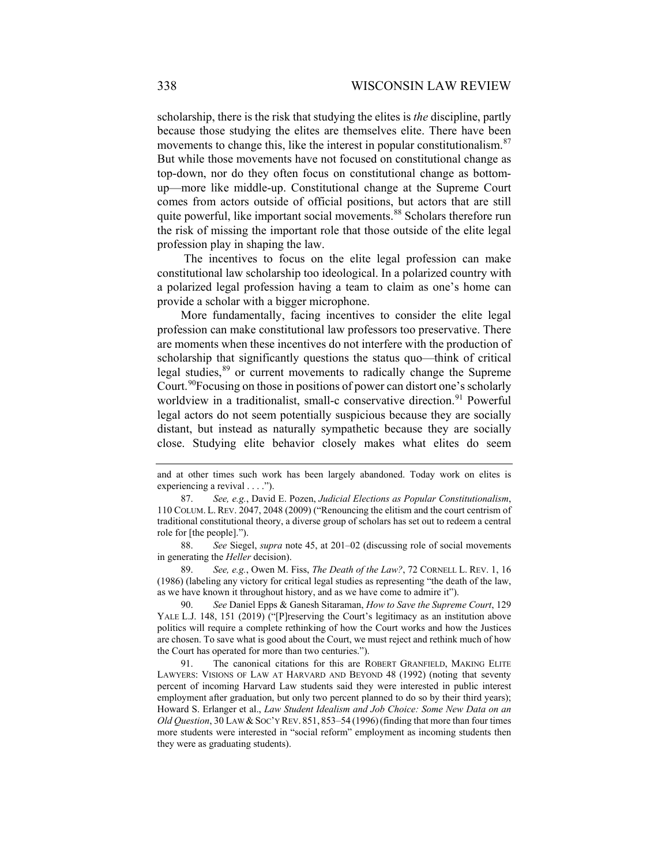scholarship, there is the risk that studying the elites is *the* discipline, partly because those studying the elites are themselves elite. There have been movements to change this, like the interest in popular constitutionalism.<sup>[87](#page-21-0)</sup> But while those movements have not focused on constitutional change as top-down, nor do they often focus on constitutional change as bottomup—more like middle-up. Constitutional change at the Supreme Court comes from actors outside of official positions, but actors that are still quite powerful, like important social movements.<sup>[88](#page-21-1)</sup> Scholars therefore run the risk of missing the important role that those outside of the elite legal profession play in shaping the law.

The incentives to focus on the elite legal profession can make constitutional law scholarship too ideological. In a polarized country with a polarized legal profession having a team to claim as one's home can provide a scholar with a bigger microphone.

More fundamentally, facing incentives to consider the elite legal profession can make constitutional law professors too preservative. There are moments when these incentives do not interfere with the production of scholarship that significantly questions the status quo—think of critical legal studies,<sup>[89](#page-21-2)</sup> or current movements to radically change the Supreme Court.<sup>[90](#page-21-3)</sup>Focusing on those in positions of power can distort one's scholarly worldview in a traditionalist, small-c conservative direction.<sup>[91](#page-21-4)</sup> Powerful legal actors do not seem potentially suspicious because they are socially distant, but instead as naturally sympathetic because they are socially close. Studying elite behavior closely makes what elites do seem

<span id="page-21-1"></span>88. *See* Siegel, *supra* note [45,](#page-11-6) at 201–02 (discussing role of social movements in generating the *Heller* decision).

<span id="page-21-2"></span>89. *See, e.g.*, Owen M. Fiss, *The Death of the Law?*, 72 CORNELL L. REV. 1, 16 (1986) (labeling any victory for critical legal studies as representing "the death of the law, as we have known it throughout history, and as we have come to admire it").

<span id="page-21-3"></span>90. *See* Daniel Epps & Ganesh Sitaraman, *How to Save the Supreme Court*, 129 YALE L.J. 148, 151 (2019) ("[P]reserving the Court's legitimacy as an institution above politics will require a complete rethinking of how the Court works and how the Justices are chosen. To save what is good about the Court, we must reject and rethink much of how the Court has operated for more than two centuries.").

<span id="page-21-4"></span>91. The canonical citations for this are ROBERT GRANFIELD, MAKING ELITE LAWYERS: VISIONS OF LAW AT HARVARD AND BEYOND 48 (1992) (noting that seventy percent of incoming Harvard Law students said they were interested in public interest employment after graduation, but only two percent planned to do so by their third years); Howard S. Erlanger et al., *Law Student Idealism and Job Choice: Some New Data on an Old Question*, 30 LAW & SOC'Y REV. 851, 853–54 (1996)(finding that more than four times more students were interested in "social reform" employment as incoming students then they were as graduating students).

and at other times such work has been largely abandoned. Today work on elites is experiencing a revival . . . .").

<span id="page-21-0"></span><sup>87.</sup> *See, e.g.*, David E. Pozen, *Judicial Elections as Popular Constitutionalism*, 110 COLUM. L. REV. 2047, 2048 (2009) ("Renouncing the elitism and the court centrism of traditional constitutional theory, a diverse group of scholars has set out to redeem a central role for [the people].").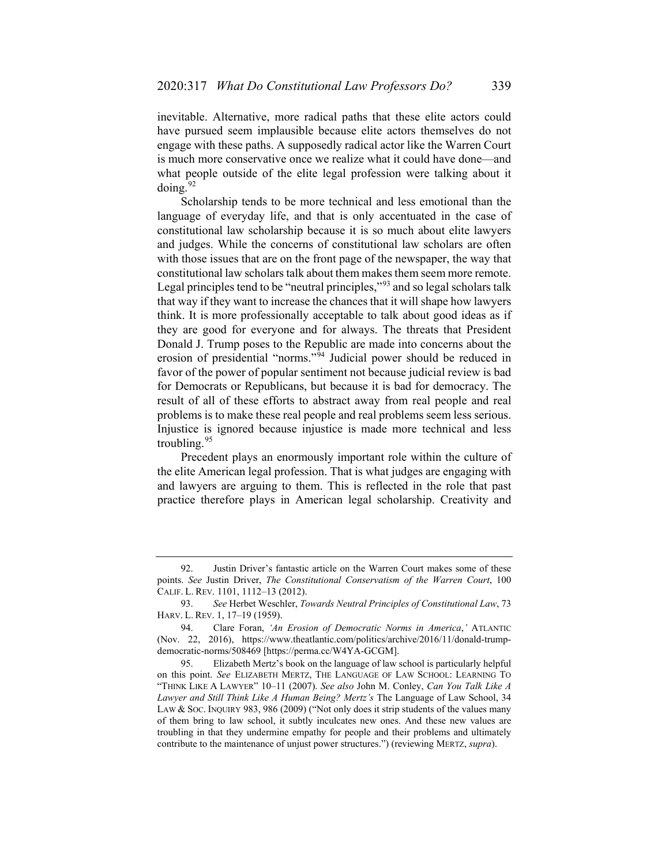inevitable. Alternative, more radical paths that these elite actors could have pursued seem implausible because elite actors themselves do not engage with these paths. A supposedly radical actor like the Warren Court is much more conservative once we realize what it could have done—and what people outside of the elite legal profession were talking about it  $\frac{1}{2}$ 

Scholarship tends to be more technical and less emotional than the language of everyday life, and that is only accentuated in the case of constitutional law scholarship because it is so much about elite lawyers and judges. While the concerns of constitutional law scholars are often with those issues that are on the front page of the newspaper, the way that constitutional law scholars talk about them makes them seem more remote. Legal principles tend to be "neutral principles,"<sup>[93](#page-22-1)</sup> and so legal scholars talk that way if they want to increase the chances that it will shape how lawyers think. It is more professionally acceptable to talk about good ideas as if they are good for everyone and for always. The threats that President Donald J. Trump poses to the Republic are made into concerns about the erosion of presidential "norms."<sup>[94](#page-22-2)</sup> Judicial power should be reduced in favor of the power of popular sentiment not because judicial review is bad for Democrats or Republicans, but because it is bad for democracy. The result of all of these efforts to abstract away from real people and real problems is to make these real people and real problems seem less serious. Injustice is ignored because injustice is made more technical and less troubling.<sup>[95](#page-22-3)</sup>

Precedent plays an enormously important role within the culture of the elite American legal profession. That is what judges are engaging with and lawyers are arguing to them. This is reflected in the role that past practice therefore plays in American legal scholarship. Creativity and

<span id="page-22-0"></span><sup>92.</sup> Justin Driver's fantastic article on the Warren Court makes some of these points. *See* Justin Driver, *The Constitutional Conservatism of the Warren Court*, 100 CALIF. L. REV. 1101, 1112–13 (2012).

<span id="page-22-1"></span><sup>93.</sup> *See* Herbet Weschler, *Towards Neutral Principles of Constitutional Law*, 73 HARV. L. REV. 1, 17–19 (1959).

<span id="page-22-2"></span><sup>94.</sup> Clare Foran, *'An Erosion of Democratic Norms in America*,*'* ATLANTIC (Nov. 22, 2016), https://www.theatlantic.com/politics/archive/2016/11/donald-trumpdemocratic-norms/508469 [https://perma.cc/W4YA-GCGM].

<span id="page-22-3"></span><sup>95.</sup> Elizabeth Mertz's book on the language of law school is particularly helpful on this point. *See* ELIZABETH MERTZ, THE LANGUAGE OF LAW SCHOOL: LEARNING TO "THINK LIKE A LAWYER" 10–11 (2007). *See also* John M. Conley, *Can You Talk Like A Lawyer and Still Think Like A Human Being? Mertz's* The Language of Law School, 34 LAW & SOC. INQUIRY 983, 986 (2009) ("Not only does it strip students of the values many of them bring to law school, it subtly inculcates new ones. And these new values are troubling in that they undermine empathy for people and their problems and ultimately contribute to the maintenance of unjust power structures.") (reviewing MERTZ, *supra*).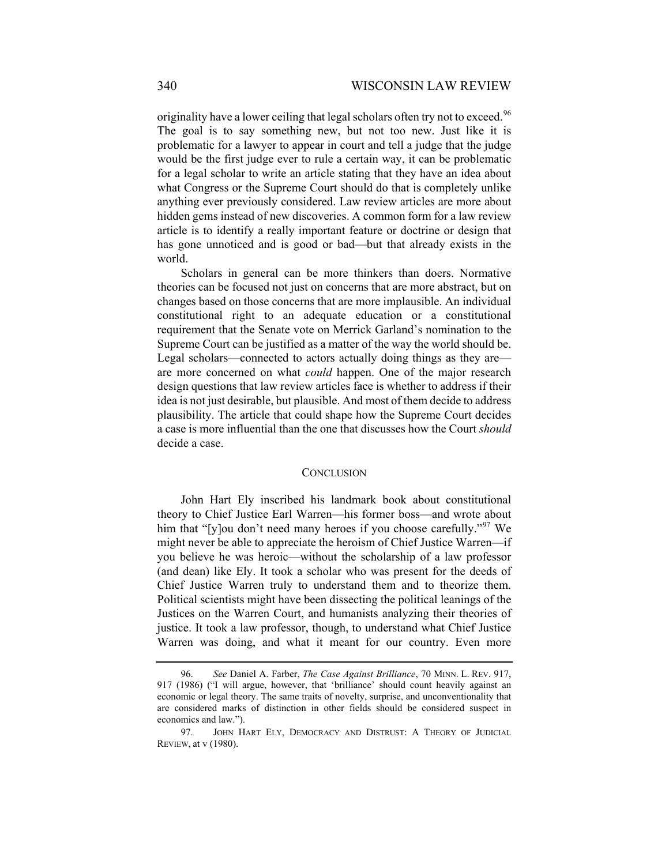originality have a lower ceiling that legal scholars often try not to exceed.<sup>[96](#page-23-0)</sup> The goal is to say something new, but not too new. Just like it is problematic for a lawyer to appear in court and tell a judge that the judge would be the first judge ever to rule a certain way, it can be problematic for a legal scholar to write an article stating that they have an idea about what Congress or the Supreme Court should do that is completely unlike anything ever previously considered. Law review articles are more about hidden gems instead of new discoveries. A common form for a law review article is to identify a really important feature or doctrine or design that has gone unnoticed and is good or bad—but that already exists in the world.

Scholars in general can be more thinkers than doers. Normative theories can be focused not just on concerns that are more abstract, but on changes based on those concerns that are more implausible. An individual constitutional right to an adequate education or a constitutional requirement that the Senate vote on Merrick Garland's nomination to the Supreme Court can be justified as a matter of the way the world should be. Legal scholars—connected to actors actually doing things as they are are more concerned on what *could* happen. One of the major research design questions that law review articles face is whether to address if their idea is not just desirable, but plausible. And most of them decide to address plausibility. The article that could shape how the Supreme Court decides a case is more influential than the one that discusses how the Court *should*  decide a case.

#### **CONCLUSION**

John Hart Ely inscribed his landmark book about constitutional theory to Chief Justice Earl Warren—his former boss—and wrote about him that "[y]ou don't need many heroes if you choose carefully."<sup>[97](#page-23-1)</sup> We might never be able to appreciate the heroism of Chief Justice Warren—if you believe he was heroic—without the scholarship of a law professor (and dean) like Ely. It took a scholar who was present for the deeds of Chief Justice Warren truly to understand them and to theorize them. Political scientists might have been dissecting the political leanings of the Justices on the Warren Court, and humanists analyzing their theories of justice. It took a law professor, though, to understand what Chief Justice Warren was doing, and what it meant for our country. Even more

<span id="page-23-0"></span><sup>96.</sup> *See* Daniel A. Farber, *The Case Against Brilliance*, 70 MINN. L. REV. 917, 917 (1986) ("I will argue, however, that 'brilliance' should count heavily against an economic or legal theory. The same traits of novelty, surprise, and unconventionality that are considered marks of distinction in other fields should be considered suspect in economics and law.").

<span id="page-23-1"></span><sup>97.</sup> JOHN HART ELY, DEMOCRACY AND DISTRUST: A THEORY OF JUDICIAL REVIEW, at v (1980).